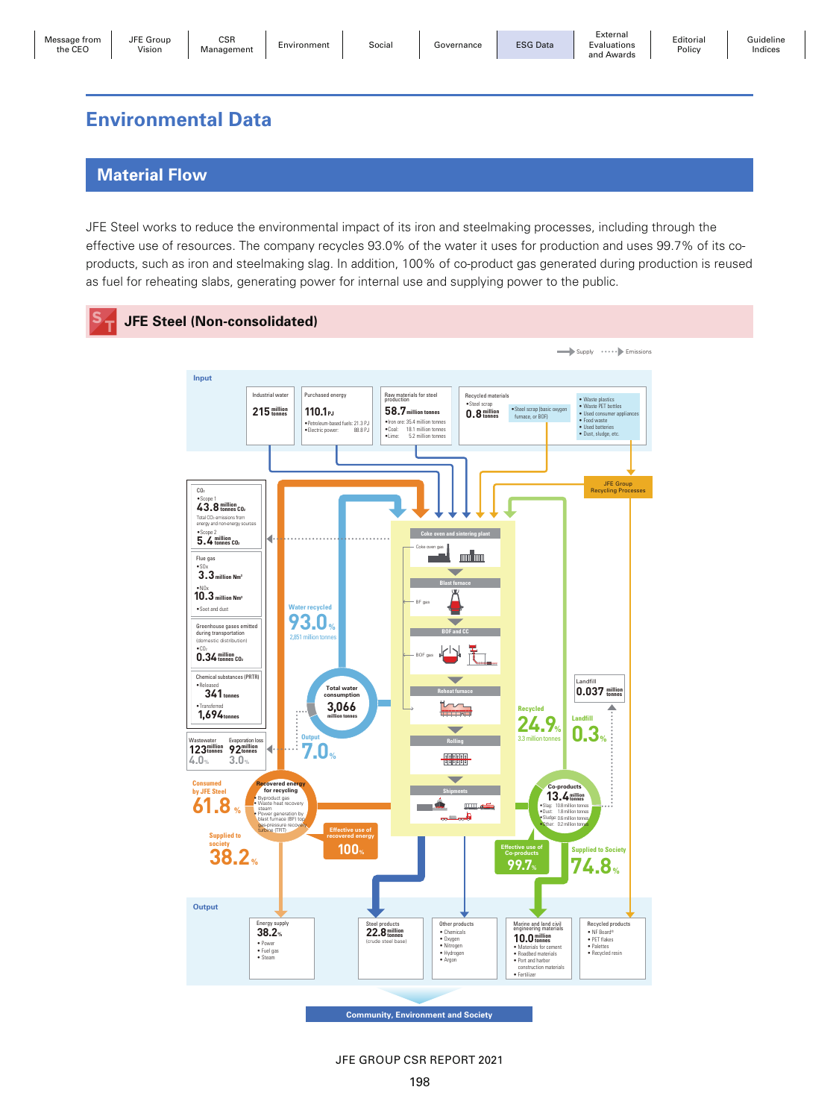Guideline Indices

Policy

# **Environmental Data**

## **Material Flow**

JFE Group

JFE Steel works to reduce the environmental impact of its iron and steelmaking processes, including through the effective use of resources. The company recycles 93.0% of the water it uses for production and uses 99.7% of its coproducts, such as iron and steelmaking slag. In addition, 100% of co-product gas generated during production is reused as fuel for reheating slabs, generating power for internal use and supplying power to the public.



JFE GROUP CSR REPORT 2021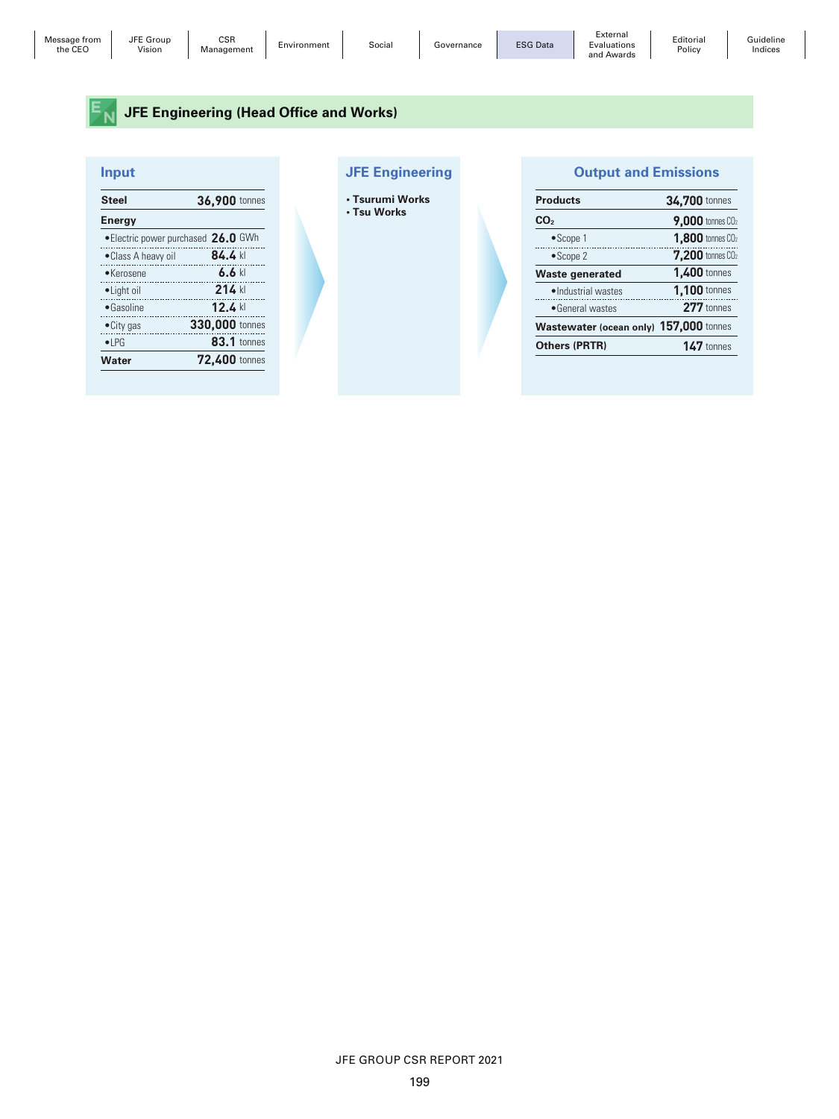## **EN** JFE Engineering (Head Office and Works)

|   |  | ı |  |
|---|--|---|--|
| a |  |   |  |
|   |  |   |  |

| <b>Steel</b>                        | 36,900 tonnes      |
|-------------------------------------|--------------------|
| <b>Energy</b>                       |                    |
| • Electric power purchased 26.0 GWh |                    |
| •Class A heavy oil                  | 84.4 kl            |
| $\bullet$ Kerosene                  | $6.6$ kl           |
| • Light oil                         | 214 kl             |
| $\bullet$ Gasoline                  | $12.4$ kl          |
| $\bullet$ City gas                  | 330,000 tonnes     |
| $\bullet$ LPG                       | <b>83.1</b> tonnes |
| Water                               | 72.400 tonnes      |
|                                     |                    |

### **In put Input and Emissions Output and Emissions**

• Tsurumi Work<br>• <sup>Tsu Works</sup>

| • Isurumi Works |
|-----------------|
| • Tsu Works     |

| <b>Products</b>                        | 34,700 tonnes                       |
|----------------------------------------|-------------------------------------|
| CO <sub>2</sub>                        | <b>9,000</b> tonnes CO <sub>2</sub> |
| $\bullet$ Scope 1                      | <b>1.800</b> tonnes CO <sub>2</sub> |
| $\bullet$ Scope 2                      | $7.200$ tonnes $CO2$                |
| Waste generated                        | 1.400 tonnes                        |
| ·Industrial wastes                     | 1.100 tonnes                        |
| • General wastes                       | 277 tonnes                          |
| Wastewater (ocean only) 157,000 tonnes |                                     |
| <b>Others (PRTR)</b>                   | $147$ tonnes                        |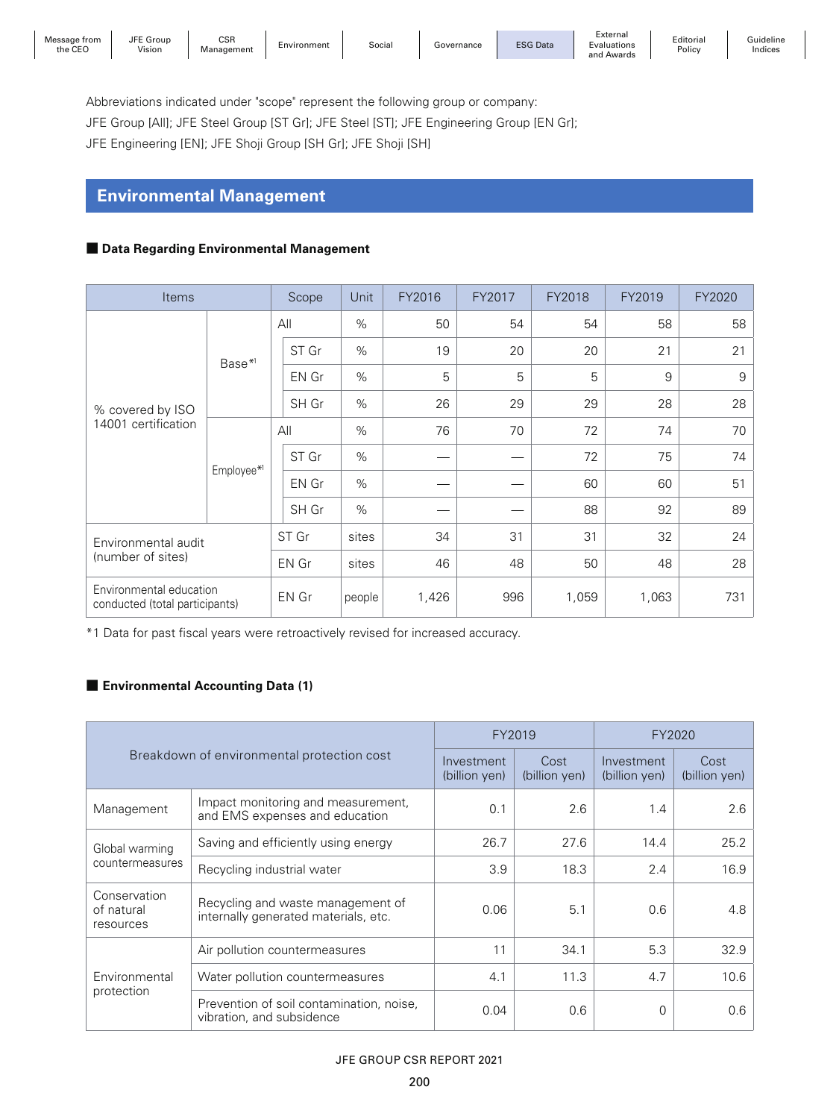JFE Group

Editorial **Policy** 

Abbreviations indicated under "scope" represent the following group or company:

JFE Group [All]; JFE Steel Group [ST Gr]; JFE Steel [ST]; JFE Engineering Group [EN Gr];

JFE Engineering [EN]; JFE Shoji Group [SH Gr]; JFE Shoji [SH]

## **Environmental Management**

### ■ Data Regarding Environmental Management

| Items                                                     |                    | Scope |       | Unit   | FY2016 | FY2017 | FY2018 | FY2019 | FY2020 |
|-----------------------------------------------------------|--------------------|-------|-------|--------|--------|--------|--------|--------|--------|
|                                                           |                    |       | All   | $\%$   | 50     | 54     | 54     | 58     | 58     |
|                                                           |                    |       | ST Gr | $\%$   | 19     | 20     | 20     | 21     | 21     |
|                                                           | Base <sup>*1</sup> |       | EN Gr | $\%$   | 5      | 5      | 5      | $9\,$  | 9      |
| % covered by ISO                                          |                    |       | SH Gr | %      | 26     | 29     | 29     | 28     | 28     |
| 14001 certification                                       | Employee*1         |       | All   | $\%$   | 76     | 70     | 72     | 74     | 70     |
|                                                           |                    |       | ST Gr | $\%$   |        |        | 72     | 75     | 74     |
|                                                           |                    |       | EN Gr | $\%$   |        |        | 60     | 60     | 51     |
|                                                           |                    |       | SH Gr | $\%$   |        |        | 88     | 92     | 89     |
| Environmental audit                                       |                    |       | ST Gr | sites  | 34     | 31     | 31     | 32     | 24     |
| (number of sites)                                         |                    |       | EN Gr | sites  | 46     | 48     | 50     | 48     | 28     |
| Environmental education<br>conducted (total participants) |                    |       | EN Gr | people | 1,426  | 996    | 1,059  | 1,063  | 731    |

\*1 Data for past fiscal years were retroactively revised for increased accuracy.

## ■ **Environmental Accounting Data (1)**

|                                            |                                                                           | FY2019                | FY2020                      |                       |      |
|--------------------------------------------|---------------------------------------------------------------------------|-----------------------|-----------------------------|-----------------------|------|
| Breakdown of environmental protection cost | Investment<br>(billion yen)                                               | Cost<br>(billion yen) | Investment<br>(billion yen) | Cost<br>(billion yen) |      |
| Management                                 | Impact monitoring and measurement,<br>and EMS expenses and education      | 0.1                   | 2.6                         | 1.4                   | 2.6  |
| Global warming<br>countermeasures          | Saving and efficiently using energy                                       | 26.7                  | 27.6                        | 14.4                  | 25.2 |
|                                            | Recycling industrial water                                                | 3.9                   | 18.3                        | 2.4                   | 16.9 |
| Conservation<br>of natural<br>resources    | Recycling and waste management of<br>internally generated materials, etc. | 0.06                  | 5.1                         | 0.6                   | 4.8  |
|                                            | Air pollution countermeasures                                             | 11                    | 34.1                        | 5.3                   | 32.9 |
| Environmental                              | Water pollution countermeasures                                           | 4.1                   | 11.3                        | 4.7                   | 10.6 |
| protection                                 | Prevention of soil contamination, noise,<br>vibration, and subsidence     | 0.04                  | 0.6                         | 0                     | 0.6  |

### JFE GROUP CSR REPORT 2021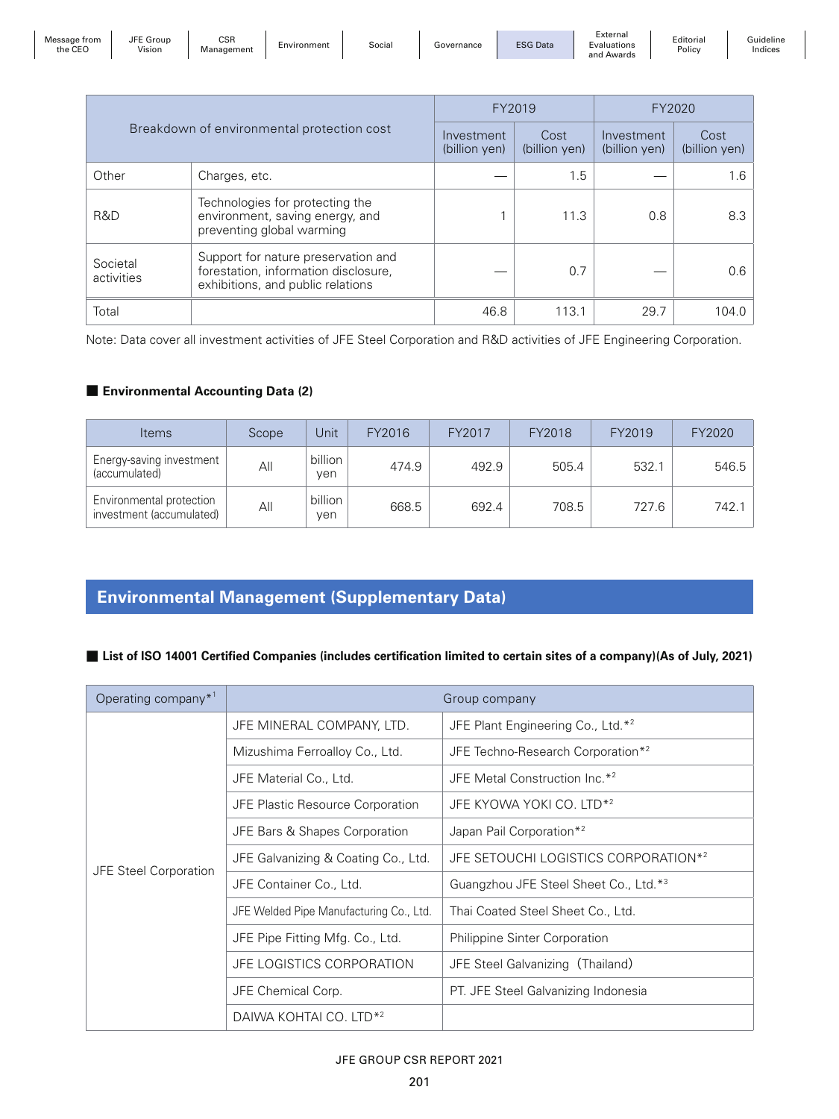| Message from<br>the CEC | JFE Group<br>Vision | CSR<br>Management | Environment | Social | Governance | <b>ESG Data</b> | External<br>Evaluations<br>and<br>' Awards | Editorial<br>Policy | Guideline<br>Indices |
|-------------------------|---------------------|-------------------|-------------|--------|------------|-----------------|--------------------------------------------|---------------------|----------------------|
|-------------------------|---------------------|-------------------|-------------|--------|------------|-----------------|--------------------------------------------|---------------------|----------------------|

|                        |                                                                                                                  | FY2019                      | FY2020                |                             |                       |
|------------------------|------------------------------------------------------------------------------------------------------------------|-----------------------------|-----------------------|-----------------------------|-----------------------|
|                        | Breakdown of environmental protection cost                                                                       | Investment<br>(billion yen) | Cost<br>(billion yen) | Investment<br>(billion yen) | Cost<br>(billion yen) |
| Other                  | Charges, etc.                                                                                                    |                             | 1.5                   |                             | 1.6                   |
| R&D                    | Technologies for protecting the<br>environment, saving energy, and<br>preventing global warming                  |                             | 11.3                  | 0.8                         | 8.3                   |
| Societal<br>activities | Support for nature preservation and<br>forestation, information disclosure,<br>exhibitions, and public relations |                             | 0.7                   |                             | 0.6                   |
| Total                  |                                                                                                                  | 46.8                        | 113.1                 | 29.7                        | 104.0                 |

Note: Data cover all investment activities of JFE Steel Corporation and R&D activities of JFE Engineering Corporation.

#### ■ **Environmental Accounting Data (2)**

| <b>Items</b>                                         | Scope | Unit           | FY2016 | FY2017 | FY2018 | FY2019 | FY2020 |
|------------------------------------------------------|-------|----------------|--------|--------|--------|--------|--------|
| Energy-saving investment<br>(accumulated)            | All   | billion<br>ven | 474.9  | 492.9  | 505.4  | 532.1  | 546.5  |
| Environmental protection<br>investment (accumulated) | All   | billion<br>ven | 668.5  | 692.4  | 708.5  | 727.6  | 742.1  |

## **Environmental Management (Supplementary Data)**

■ List of ISO 14001 Certified Companies (includes certification limited to certain sites of a company)(As of July, 2021)

| Operating company $*^1$      | Group company                           |                                               |  |  |  |  |
|------------------------------|-----------------------------------------|-----------------------------------------------|--|--|--|--|
|                              | JFE MINERAL COMPANY, LTD.               | JFE Plant Engineering Co., Ltd.*2             |  |  |  |  |
|                              | Mizushima Ferroalloy Co., Ltd.          | JFE Techno-Research Corporation* <sup>2</sup> |  |  |  |  |
|                              | JFE Material Co., Ltd.                  | JFE Metal Construction Inc.* <sup>2</sup>     |  |  |  |  |
|                              | <b>JFE Plastic Resource Corporation</b> | JFE KYOWA YOKI CO. LTD <sup>*2</sup>          |  |  |  |  |
|                              | JFE Bars & Shapes Corporation           | Japan Pail Corporation* <sup>2</sup>          |  |  |  |  |
|                              | JFE Galvanizing & Coating Co., Ltd.     | JFE SETOUCHI LOGISTICS CORPORATION*2          |  |  |  |  |
| <b>JFE Steel Corporation</b> | JFE Container Co., Ltd.                 | Guangzhou JFE Steel Sheet Co., Ltd. *3        |  |  |  |  |
|                              | JFE Welded Pipe Manufacturing Co., Ltd. | Thai Coated Steel Sheet Co., Ltd.             |  |  |  |  |
|                              | JFE Pipe Fitting Mfg. Co., Ltd.         | <b>Philippine Sinter Corporation</b>          |  |  |  |  |
|                              | JFE LOGISTICS CORPORATION               | JFE Steel Galvanizing (Thailand)              |  |  |  |  |
|                              | JFE Chemical Corp.                      | PT. JFE Steel Galvanizing Indonesia           |  |  |  |  |
|                              | DAIWA KOHTAI CO. LTD <sup>*2</sup>      |                                               |  |  |  |  |

#### JFE GROUP CSR REPORT 2021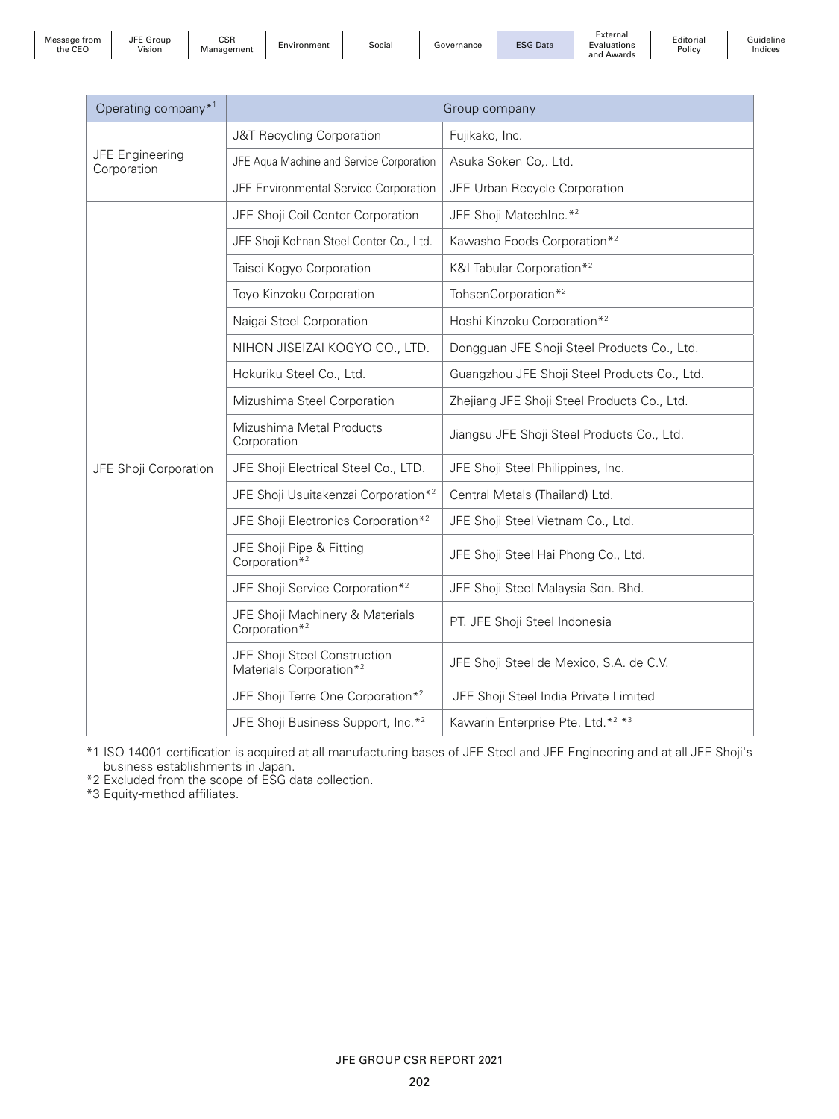JFE Group

CSR

L'Oroup Contracte Controlle Environment | Social | Governance | ESG Data

External Evaluations and Awards

Editorial Policy

Guideline Indices

| Operating company* <sup>1</sup>       |                                                                     | Group company                                             |  |  |
|---------------------------------------|---------------------------------------------------------------------|-----------------------------------------------------------|--|--|
|                                       | J&T Recycling Corporation                                           | Fujikako, Inc.                                            |  |  |
| <b>JFE Engineering</b><br>Corporation | JFE Aqua Machine and Service Corporation                            | Asuka Soken Co,. Ltd.                                     |  |  |
|                                       | JFE Environmental Service Corporation                               | JFE Urban Recycle Corporation                             |  |  |
|                                       | JFE Shoji Coil Center Corporation                                   | JFE Shoji MatechInc.* <sup>2</sup>                        |  |  |
|                                       | JFE Shoji Kohnan Steel Center Co., Ltd.                             | Kawasho Foods Corporation* <sup>2</sup>                   |  |  |
|                                       | Taisei Kogyo Corporation                                            | K&I Tabular Corporation* <sup>2</sup>                     |  |  |
|                                       | Toyo Kinzoku Corporation                                            | TohsenCorporation* <sup>2</sup>                           |  |  |
|                                       | Naigai Steel Corporation                                            | Hoshi Kinzoku Corporation* <sup>2</sup>                   |  |  |
|                                       | NIHON JISEIZAI KOGYO CO., LTD.                                      | Dongguan JFE Shoji Steel Products Co., Ltd.               |  |  |
|                                       | Hokuriku Steel Co., Ltd.                                            | Guangzhou JFE Shoji Steel Products Co., Ltd.              |  |  |
|                                       | Mizushima Steel Corporation                                         | Zhejiang JFE Shoji Steel Products Co., Ltd.               |  |  |
|                                       | Mizushima Metal Products<br>Corporation                             | Jiangsu JFE Shoji Steel Products Co., Ltd.                |  |  |
| JFE Shoji Corporation                 | JFE Shoji Electrical Steel Co., LTD.                                | JFE Shoji Steel Philippines, Inc.                         |  |  |
|                                       | JFE Shoji Usuitakenzai Corporation* <sup>2</sup>                    | Central Metals (Thailand) Ltd.                            |  |  |
|                                       | JFE Shoji Electronics Corporation* <sup>2</sup>                     | JFE Shoji Steel Vietnam Co., Ltd.                         |  |  |
|                                       | JFE Shoji Pipe & Fitting<br>Corporation <sup>*2</sup>               | JFE Shoji Steel Hai Phong Co., Ltd.                       |  |  |
|                                       | JFE Shoji Service Corporation* <sup>2</sup>                         | JFE Shoji Steel Malaysia Sdn. Bhd.                        |  |  |
|                                       | JFE Shoji Machinery & Materials<br>Corporation* <sup>2</sup>        | PT. JFE Shoji Steel Indonesia                             |  |  |
|                                       | JFE Shoji Steel Construction<br>Materials Corporation* <sup>2</sup> | JFE Shoji Steel de Mexico, S.A. de C.V.                   |  |  |
|                                       | JFE Shoji Terre One Corporation* <sup>2</sup>                       | JFE Shoji Steel India Private Limited                     |  |  |
|                                       | JFE Shoji Business Support, Inc.* <sup>2</sup>                      | Kawarin Enterprise Pte. Ltd.* <sup>2</sup> * <sup>3</sup> |  |  |

\*1 ISO 14001 certification is acquired at all manufacturing bases of JFE Steel and JFE Engineering and at all JFE Shoji's business establishments in Japan.

\*2 Excluded from the scope of ESG data collection.

\*3 Equity-method affiliates.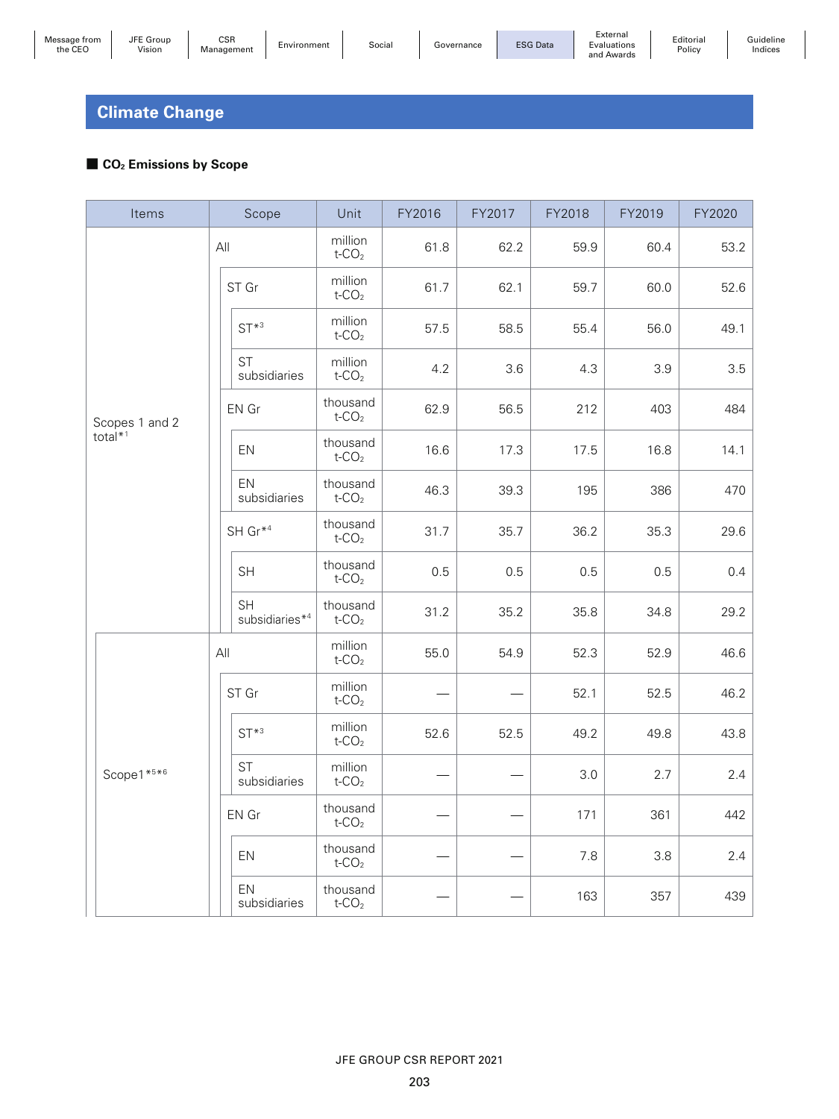# **Climate Change**

## ■ **CO<sub>2</sub> Emissions by Scope**

| Items          | Scope                                   | Unit                             | FY2016 | FY2017 | FY2018 | FY2019 | FY2020 |
|----------------|-----------------------------------------|----------------------------------|--------|--------|--------|--------|--------|
|                | All                                     | million<br>$t$ -CO <sub>2</sub>  | 61.8   | 62.2   | 59.9   | 60.4   | 53.2   |
|                | ST Gr                                   | million<br>$t$ -CO <sub>2</sub>  | 61.7   | 62.1   | 59.7   | 60.0   | 52.6   |
|                | $ST^{*3}$                               | million<br>$t$ -CO <sub>2</sub>  | 57.5   | 58.5   | 55.4   | 56.0   | 49.1   |
|                | <b>ST</b><br>subsidiaries               | million<br>$t$ -CO <sub>2</sub>  | 4.2    | 3.6    | 4.3    | 3.9    | 3.5    |
| Scopes 1 and 2 | EN Gr                                   | thousand<br>$t$ -CO <sub>2</sub> | 62.9   | 56.5   | 212    | 403    | 484    |
| total*1        | EN                                      | thousand<br>$t$ -CO <sub>2</sub> | 16.6   | 17.3   | 17.5   | 16.8   | 14.1   |
|                | EN<br>subsidiaries                      | thousand<br>$t$ -CO <sub>2</sub> | 46.3   | 39.3   | 195    | 386    | 470    |
|                | SH Gr* <sup>4</sup>                     | thousand<br>$t$ -CO <sub>2</sub> | 31.7   | 35.7   | 36.2   | 35.3   | 29.6   |
|                | SH                                      | thousand<br>$t$ -CO <sub>2</sub> | 0.5    | 0.5    | 0.5    | 0.5    | 0.4    |
|                | <b>SH</b><br>subsidiaries* <sup>4</sup> | thousand<br>$t$ -CO <sub>2</sub> | 31.2   | 35.2   | 35.8   | 34.8   | 29.2   |
|                | All                                     | million<br>$t$ -CO <sub>2</sub>  | 55.0   | 54.9   | 52.3   | 52.9   | 46.6   |
|                | ST Gr                                   | million<br>$t$ -CO <sub>2</sub>  |        |        | 52.1   | 52.5   | 46.2   |
|                | $ST^{*3}$                               | million<br>$t$ -CO <sub>2</sub>  | 52.6   | 52.5   | 49.2   | 49.8   | 43.8   |
| Scope1*5*6     | <b>ST</b><br>subsidiaries               | million<br>$t$ -CO <sub>2</sub>  |        |        | 3.0    | 2.7    | 2.4    |
|                | EN Gr                                   | thousand<br>$t$ -CO <sub>2</sub> |        |        | 171    | 361    | 442    |
|                | EN                                      | thousand<br>$t$ -CO <sub>2</sub> |        |        | 7.8    | 3.8    | 2.4    |
|                | EN<br>subsidiaries                      | thousand<br>$t$ -CO <sub>2</sub> |        |        | 163    | 357    | 439    |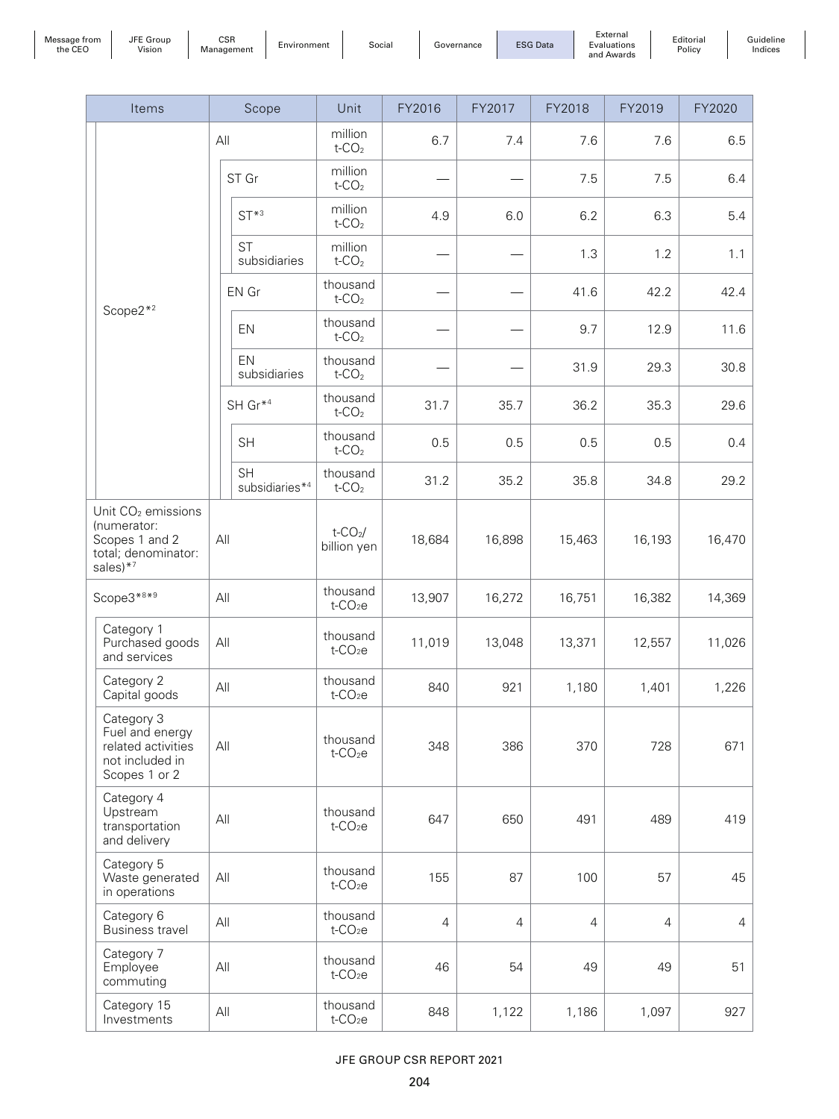| Message from<br>the CEO |
|-------------------------|
|-------------------------|

Editorial Policy  $\overline{\phantom{a}}$ 

Guideline Indices

|            | Items                                                                                                 |                        | Scope                            | Unit                                 | FY2016         | FY2017         | FY2018         | FY2019         | FY2020 |
|------------|-------------------------------------------------------------------------------------------------------|------------------------|----------------------------------|--------------------------------------|----------------|----------------|----------------|----------------|--------|
|            |                                                                                                       |                        | All                              | million<br>$t$ -CO <sub>2</sub>      | 6.7            | 7.4            | 7.6            | 7.6            | 6.5    |
|            |                                                                                                       |                        | ST Gr                            | million<br>$t$ -CO <sub>2</sub>      |                |                | 7.5            | 7.5            | 6.4    |
|            |                                                                                                       |                        | $ST*3$                           | million<br>$t$ -CO <sub>2</sub>      | 4.9            | 6.0            | 6.2            | 6.3            | 5.4    |
|            |                                                                                                       |                        | <b>ST</b><br>subsidiaries        | million<br>$t$ -CO <sub>2</sub>      |                |                | 1.3            | 1.2            | 1.1    |
|            |                                                                                                       |                        | EN Gr                            | thousand<br>$t$ -CO <sub>2</sub>     |                |                | 41.6           | 42.2           | 42.4   |
| $Scope2*2$ |                                                                                                       | EN                     | thousand<br>$t$ -CO <sub>2</sub> |                                      |                | 9.7            | 12.9           | 11.6           |        |
|            |                                                                                                       |                        | EN<br>subsidiaries               | thousand<br>$t$ -CO <sub>2</sub>     |                |                | 31.9           | 29.3           | 30.8   |
|            |                                                                                                       |                        | SH Gr* <sup>4</sup>              | thousand<br>$t$ -CO <sub>2</sub>     | 31.7           | 35.7           | 36.2           | 35.3           | 29.6   |
|            |                                                                                                       | <b>SH</b><br><b>SH</b> |                                  | thousand<br>$t$ -CO <sub>2</sub>     | 0.5            | 0.5            | 0.5            | 0.5            | 0.4    |
|            |                                                                                                       |                        | subsidiaries* <sup>4</sup>       | thousand<br>$t$ -CO <sub>2</sub>     | 31.2           | 35.2           | 35.8           | 34.8           | 29.2   |
|            | Unit CO <sub>2</sub> emissions<br>(numerator:<br>Scopes 1 and 2<br>total; denominator:<br>sales $*^7$ |                        | All                              | t- $CO2$ /<br>billion yen            | 18,684         | 16,898         | 15,463         | 16,193         | 16,470 |
|            | Scope3*8*9                                                                                            |                        | All                              | thousand<br>$t$ -CO <sub>2</sub> e   | 13,907         | 16,272         | 16,751         | 16,382         | 14,369 |
|            | Category 1<br>Purchased goods<br>and services                                                         |                        | All                              | thousand<br>$t$ -CO <sub>2</sub> e   | 11,019         | 13,048         | 13,371         | 12,557         | 11,026 |
|            | Category 2<br>Capital goods                                                                           |                        | All                              | thousand<br>$t$ -CO <sub>2</sub> e   | 840            | 921            | 1,180          | 1,401          | 1,226  |
|            | Category 3<br>Fuel and energy<br>related activities<br>not included in<br>Scopes 1 or 2               |                        | All                              | thousand<br>$t$ -CO <sub>2</sub> e   | 348            | 386            | 370            | 728            | 671    |
|            | Category 4<br>Upstream<br>transportation<br>and delivery                                              |                        | All                              | thousand<br>$t$ -CO <sub>2</sub> e   | 647            | 650            | 491            | 489            | 419    |
|            | Category 5<br>Waste generated<br>in operations                                                        |                        | All                              | thousand<br>$t$ -CO <sub>2</sub> e   | 155            | 87             | 100            | 57             | 45     |
|            | Category 6<br><b>Business travel</b>                                                                  |                        | All                              | thousand<br>$t$ -CO <sub>2</sub> e   | $\overline{4}$ | $\overline{4}$ | $\overline{4}$ | $\overline{4}$ | 4      |
|            | Category 7<br>Employee<br>commuting                                                                   |                        | All                              | thousand<br>$t$ -CO <sub>2</sub> $e$ | 46             | 54             | 49             | 49             | 51     |
|            | Category 15<br>Investments                                                                            |                        | All                              | thousand<br>$t$ -CO <sub>2</sub> e   | 848            | 1,122          | 1,186          | 1,097          | 927    |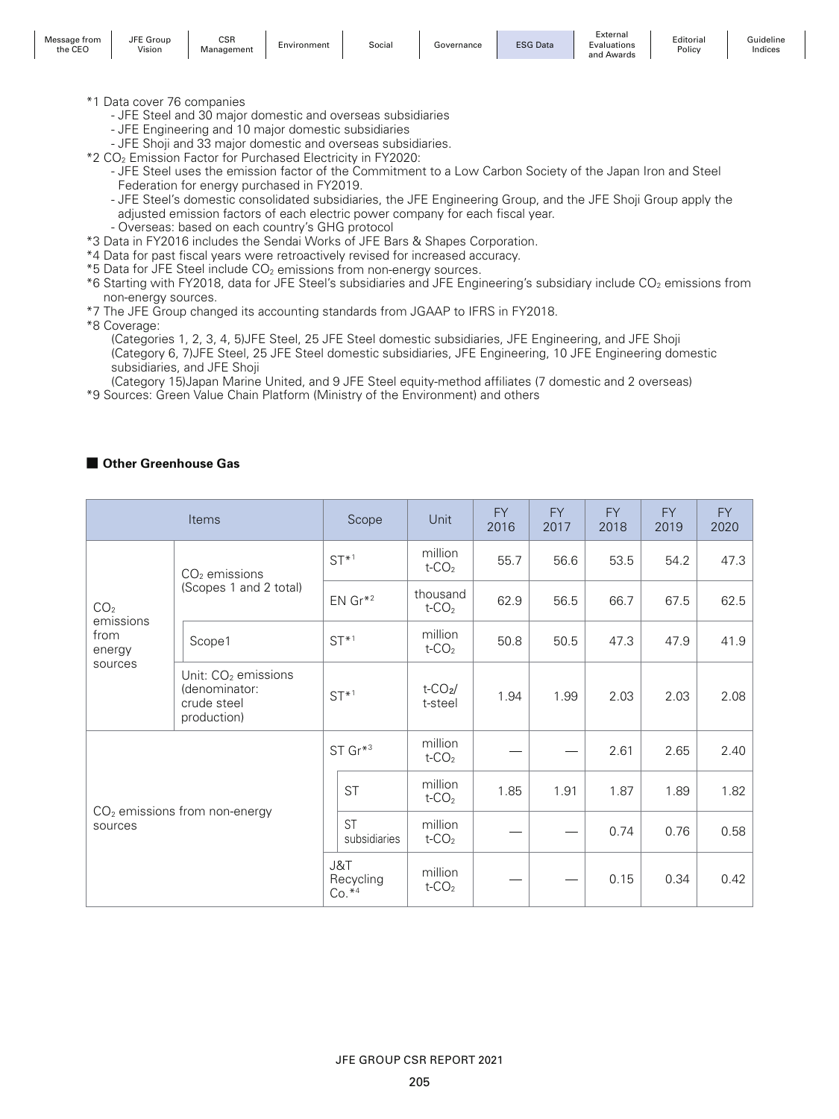| Message from<br>$C^{\Gamma}$<br>the CEC | $- -$<br>Group<br>JFE<br>$\cdots$<br>Vision | <b>CSR</b><br>'anagement<br>mana | Environment | Social | Governance | <b>ESG Data</b><br>Dala | External<br>Evaluations<br>and<br>Awards | Editoria<br>Policy | suideline<br>indices |
|-----------------------------------------|---------------------------------------------|----------------------------------|-------------|--------|------------|-------------------------|------------------------------------------|--------------------|----------------------|
|-----------------------------------------|---------------------------------------------|----------------------------------|-------------|--------|------------|-------------------------|------------------------------------------|--------------------|----------------------|

- \*1 Data cover 76 companies
	- JFE Steel and 30 major domestic and overseas subsidiaries
	- JFE Engineering and 10 major domestic subsidiaries
	- JFE Shoji and 33 major domestic and overseas subsidiaries.
- \*2 CO2 Emission Factor for Purchased Electricity in FY2020:
	- JFE Steel uses the emission factor of the Commitment to a Low Carbon Society of the Japan Iron and Steel Federation for energy purchased in FY2019.
	- JFE Steel's domestic consolidated subsidiaries, the JFE Engineering Group, and the JFE Shoji Group apply the adjusted emission factors of each electric power company for each fiscal year.
	- Overseas: based on each country's GHG protocol
- \*3 Data in FY2016 includes the Sendai Works of JFE Bars & Shapes Corporation.
- \*4 Data for past fiscal years were retroactively revised for increased accuracy.
- $*5$  Data for JFE Steel include  $CO<sub>2</sub>$  emissions from non-energy sources.
- \*6 Starting with FY2018, data for JFE Steel's subsidiaries and JFE Engineering's subsidiary include CO<sub>2</sub> emissions from non-energy sources.
- \*7 The JFE Group changed its accounting standards from JGAAP to IFRS in FY2018.

\*8 Coverage:

(Categories 1, 2, 3, 4, 5)JFE Steel, 25 JFE Steel domestic subsidiaries, JFE Engineering, and JFE Shoji (Category 6, 7)JFE Steel, 25 JFE Steel domestic subsidiaries, JFE Engineering, 10 JFE Engineering domestic subsidiaries, and JFE Shoji

(Category 15)Japan Marine United, and 9 JFE Steel equity-method affiliates (7 domestic and 2 overseas) \*9 Sources: Green Value Chain Platform (Ministry of the Environment) and others

#### ■ Other Greenhouse Gas

|                                                           | Items                                                                          |                             | Scope                     | Unit                              | <b>FY</b><br>2016 | <b>FY</b><br>2017 | <b>FY</b><br>2018 | <b>FY</b><br>2019 | <b>FY</b><br>2020 |
|-----------------------------------------------------------|--------------------------------------------------------------------------------|-----------------------------|---------------------------|-----------------------------------|-------------------|-------------------|-------------------|-------------------|-------------------|
|                                                           | $CO2$ emissions<br>(Scopes 1 and 2 total)<br>Scope1                            |                             | $ST^{*1}$                 | million<br>$t$ -CO <sub>2</sub>   | 55.7              | 56.6              | 53.5              | 54.2              | 47.3              |
| CO <sub>2</sub><br>emissions<br>from<br>energy<br>sources |                                                                                |                             | $EN Gr*2$                 | thousand<br>$t$ -CO <sub>2</sub>  | 62.9              | 56.5              | 66.7              | 67.5              | 62.5              |
|                                                           |                                                                                |                             | $ST^{*1}$                 | million<br>t- $CO2$               | 50.8              | 50.5              | 47.3              | 47.9              | 41.9              |
|                                                           | Unit: CO <sub>2</sub> emissions<br>(denominator:<br>crude steel<br>production) |                             | $ST*1$                    | $t$ -CO <sub>2</sub> /<br>t-steel | 1.94              | 1.99              | 2.03              | 2.03              | 2.08              |
| $CO2$ emissions from non-energy<br>sources                |                                                                                | ST Gr*3                     |                           | million<br>$t$ -CO <sub>2</sub>   |                   |                   | 2.61              | 2.65              | 2.40              |
|                                                           |                                                                                |                             | <b>ST</b>                 | million<br>t- $CO2$               | 1.85              | 1.91              | 1.87              | 1.89              | 1.82              |
|                                                           |                                                                                |                             | <b>ST</b><br>subsidiaries | million<br>$t$ -CO <sub>2</sub>   |                   |                   | 0.74              | 0.76              | 0.58              |
|                                                           |                                                                                | J&T<br>Recycling<br>$Co.*4$ |                           | million<br>$t$ -CO <sub>2</sub>   |                   |                   | 0.15              | 0.34              | 0.42              |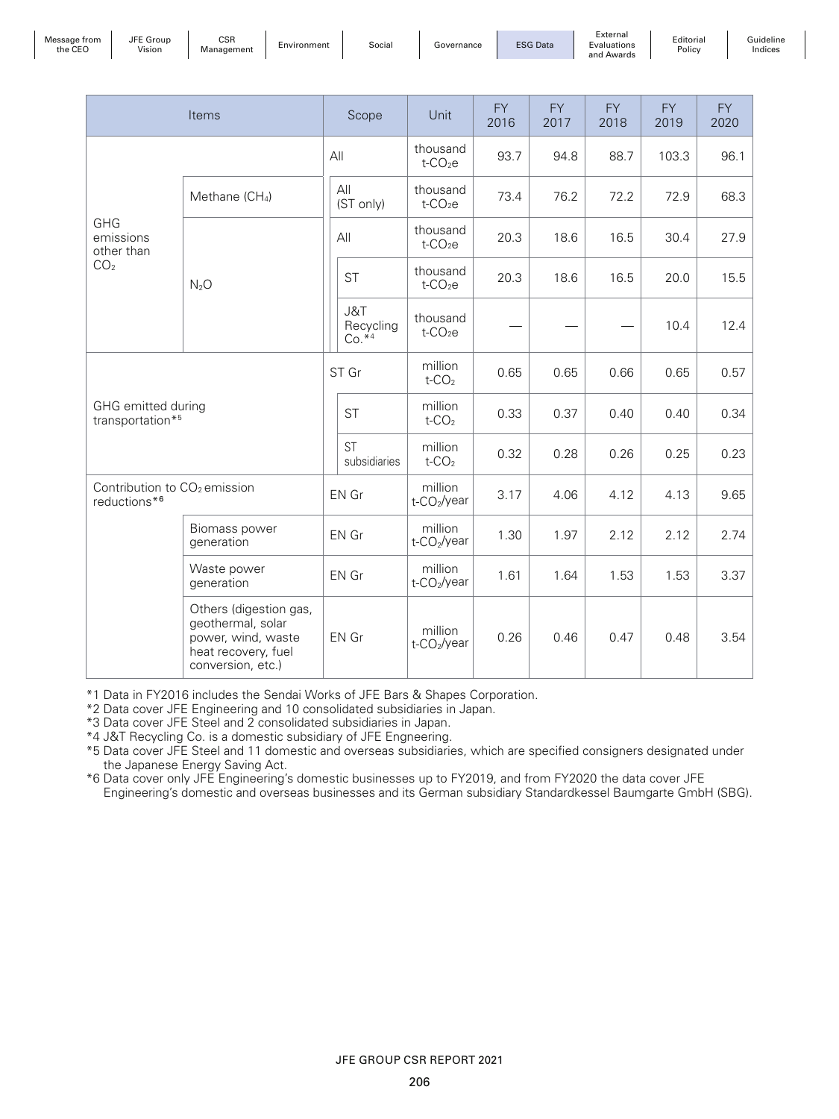| Message from<br>the CEO | JFE<br>Group<br>.<br>Vision | CSR<br>Management | Environment | Social | iovernance | <b>ESG Data</b> | External<br>Evaluations<br>and Awards |
|-------------------------|-----------------------------|-------------------|-------------|--------|------------|-----------------|---------------------------------------|
|-------------------------|-----------------------------|-------------------|-------------|--------|------------|-----------------|---------------------------------------|

| ונ  | Editorial |
|-----|-----------|
| ns: | Policy    |
| rds |           |

Guideline Indices

|                                                          | Items                                                                                                         |  | Scope                        | Unit                                 | <b>FY</b><br>2016 | FY.<br>2017 | FY.<br>2018 | <b>FY</b><br>2019 | FY.<br>2020 |
|----------------------------------------------------------|---------------------------------------------------------------------------------------------------------------|--|------------------------------|--------------------------------------|-------------------|-------------|-------------|-------------------|-------------|
|                                                          |                                                                                                               |  | All                          | thousand<br>$t$ -CO <sub>2</sub> $e$ | 93.7              | 94.8        | 88.7        | 103.3             | 96.1        |
|                                                          | Methane (CH <sub>4</sub> )                                                                                    |  | All<br>(ST only)             | thousand<br>$t$ -CO <sub>2</sub> $e$ | 73.4              | 76.2        | 72.2        | 72.9              | 68.3        |
| <b>GHG</b><br>emissions<br>other than                    |                                                                                                               |  | All                          | thousand<br>$t$ -CO <sub>2</sub> e   | 20.3              | 18.6        | 16.5        | 30.4              | 27.9        |
| CO <sub>2</sub>                                          | $N_2O$                                                                                                        |  | <b>ST</b>                    | thousand<br>$t$ -CO <sub>2</sub> $e$ | 20.3              | 18.6        | 16.5        | 20.0              | 15.5        |
|                                                          |                                                                                                               |  | J&T<br>Recycling<br>$Co.**4$ | thousand<br>$t$ -CO <sub>2</sub> $e$ |                   |             |             | 10.4              | 12.4        |
|                                                          |                                                                                                               |  | ST Gr                        | million<br>t- $CO2$                  | 0.65              | 0.65        | 0.66        | 0.65              | 0.57        |
|                                                          | GHG emitted during<br>transportation*5                                                                        |  | <b>ST</b>                    | million<br>$t$ -CO <sub>2</sub>      | 0.33              | 0.37        | 0.40        | 0.40              | 0.34        |
|                                                          |                                                                                                               |  | <b>ST</b><br>subsidiaries    | million<br>$t$ -CO <sub>2</sub>      | 0.32              | 0.28        | 0.26        | 0.25              | 0.23        |
| Contribution to CO <sub>2</sub> emission<br>reductions*6 |                                                                                                               |  | EN Gr                        | million<br>t-CO <sub>2</sub> /year   | 3.17              | 4.06        | 4.12        | 4.13              | 9.65        |
|                                                          | Biomass power<br>generation                                                                                   |  | EN Gr                        | million<br>t-CO <sub>2</sub> /year   | 1.30              | 1.97        | 2.12        | 2.12              | 2.74        |
| Waste power<br>generation                                |                                                                                                               |  | EN Gr                        | million<br>t-CO <sub>2</sub> /year   | 1.61              | 1.64        | 1.53        | 1.53              | 3.37        |
|                                                          | Others (digestion gas,<br>geothermal, solar<br>power, wind, waste<br>heat recovery, fuel<br>conversion, etc.) |  | EN Gr                        | million<br>t-CO <sub>2</sub> /year   | 0.26              | 0.46        | 0.47        | 0.48              | 3.54        |

\*1 Data in FY2016 includes the Sendai Works of JFE Bars & Shapes Corporation.

\*2 Data cover JFE Engineering and 10 consolidated subsidiaries in Japan.

\*3 Data cover JFE Steel and 2 consolidated subsidiaries in Japan.

\*4 J&T Recycling Co. is a domestic subsidiary of JFE Engneering.

\*5 Data cover JFE Steel and 11 domestic and overseas subsidiaries, which are specified consigners designated under the Japanese Energy Saving Act.

\*6 Data cover only JFE Engineering's domestic businesses up to FY2019, and from FY2020 the data cover JFE Engineering's domestic and overseas businesses and its German subsidiary Standardkessel Baumgarte GmbH (SBG).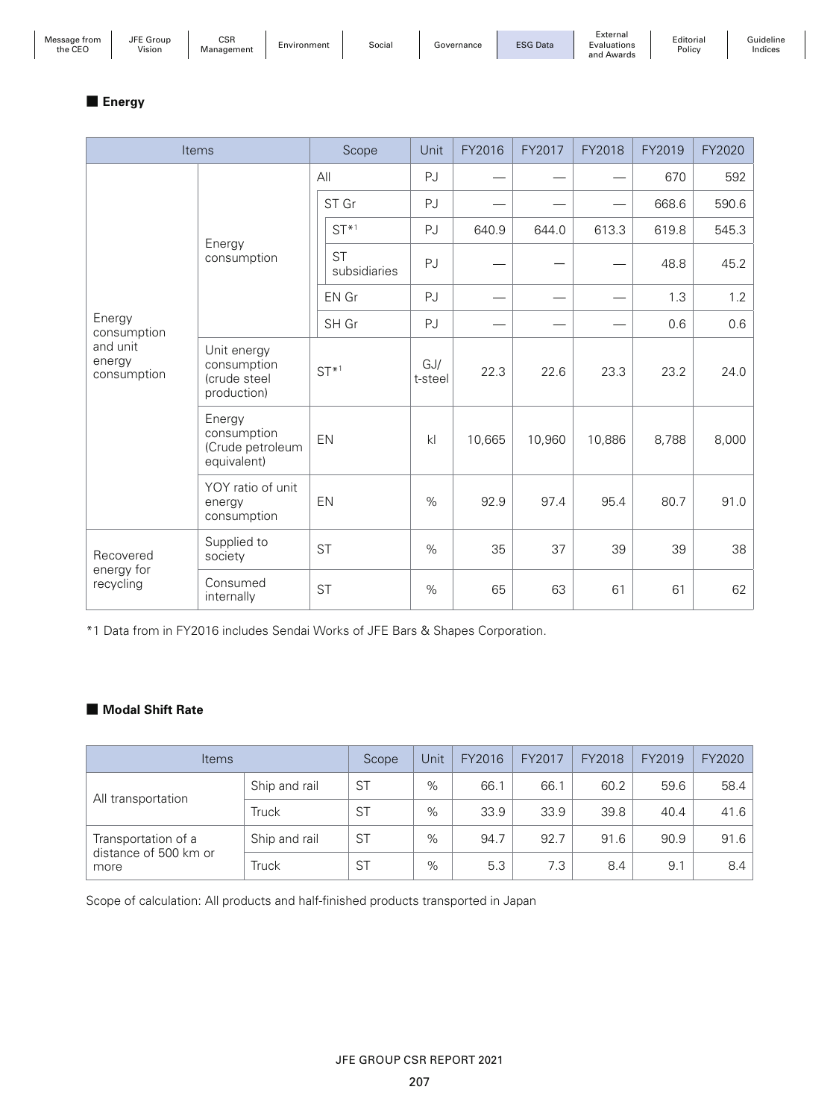| Message from |
|--------------|
| the CEO      |

Guideline Indices

## ■ **Energy**

| Items                                                      |                                                           | Scope     |                           | Unit           | FY2016 | FY2017 | FY2018 | FY2019 | FY2020 |
|------------------------------------------------------------|-----------------------------------------------------------|-----------|---------------------------|----------------|--------|--------|--------|--------|--------|
|                                                            |                                                           |           | All                       | PJ             |        |        |        | 670    | 592    |
|                                                            |                                                           |           | ST Gr                     | PJ             |        |        |        | 668.6  | 590.6  |
|                                                            | Energy                                                    |           | $ST*1$                    | PJ             | 640.9  | 644.0  | 613.3  | 619.8  | 545.3  |
|                                                            | consumption                                               |           | <b>ST</b><br>subsidiaries | PJ             |        |        |        | 48.8   | 45.2   |
|                                                            |                                                           |           | EN Gr                     | PJ             |        |        |        | 1.3    | 1.2    |
| Energy<br>consumption<br>and unit<br>energy<br>consumption |                                                           | SH Gr     |                           | PJ             |        |        |        | 0.6    | 0.6    |
|                                                            | Unit energy<br>consumption<br>(crude steel<br>production) | $ST^{*1}$ |                           | GJ/<br>t-steel | 22.3   | 22.6   | 23.3   | 23.2   | 24.0   |
|                                                            | Energy<br>consumption<br>(Crude petroleum<br>equivalent)  |           | EN                        | k              | 10,665 | 10,960 | 10,886 | 8,788  | 8,000  |
|                                                            | YOY ratio of unit<br>energy<br>consumption                |           | EN                        | %              | 92.9   | 97.4   | 95.4   | 80.7   | 91.0   |
| Recovered                                                  | Supplied to<br>society                                    |           | <b>ST</b>                 | $\%$           | 35     | 37     | 39     | 39     | 38     |
| energy for<br>recycling                                    | Consumed<br>internally                                    |           | <b>ST</b>                 | %              | 65     | 63     | 61     | 61     | 62     |

\*1 Data from in FY2016 includes Sendai Works of JFE Bars & Shapes Corporation.

### ■ **Modal Shift Rate**

| <b>Items</b>                  |               | Scope     | Unit | FY2016 | FY2017 | FY2018 | FY2019 | FY2020 |
|-------------------------------|---------------|-----------|------|--------|--------|--------|--------|--------|
| All transportation            | Ship and rail | ST        | $\%$ | 66.1   | 66.1   | 60.2   | 59.6   | 58.4   |
|                               | Truck         | <b>ST</b> | $\%$ | 33.9   | 33.9   | 39.8   | 40.4   | 41.6   |
| Transportation of a           | Ship and rail | ST        | $\%$ | 94.7   | 92.7   | 91.6   | 90.9   | 91.6   |
| distance of 500 km or<br>more | Truck         | <b>ST</b> | $\%$ | 5.3    | 7.3    | 8.4    | 9.1    | 8.4    |

Scope of calculation: All products and half-finished products transported in Japan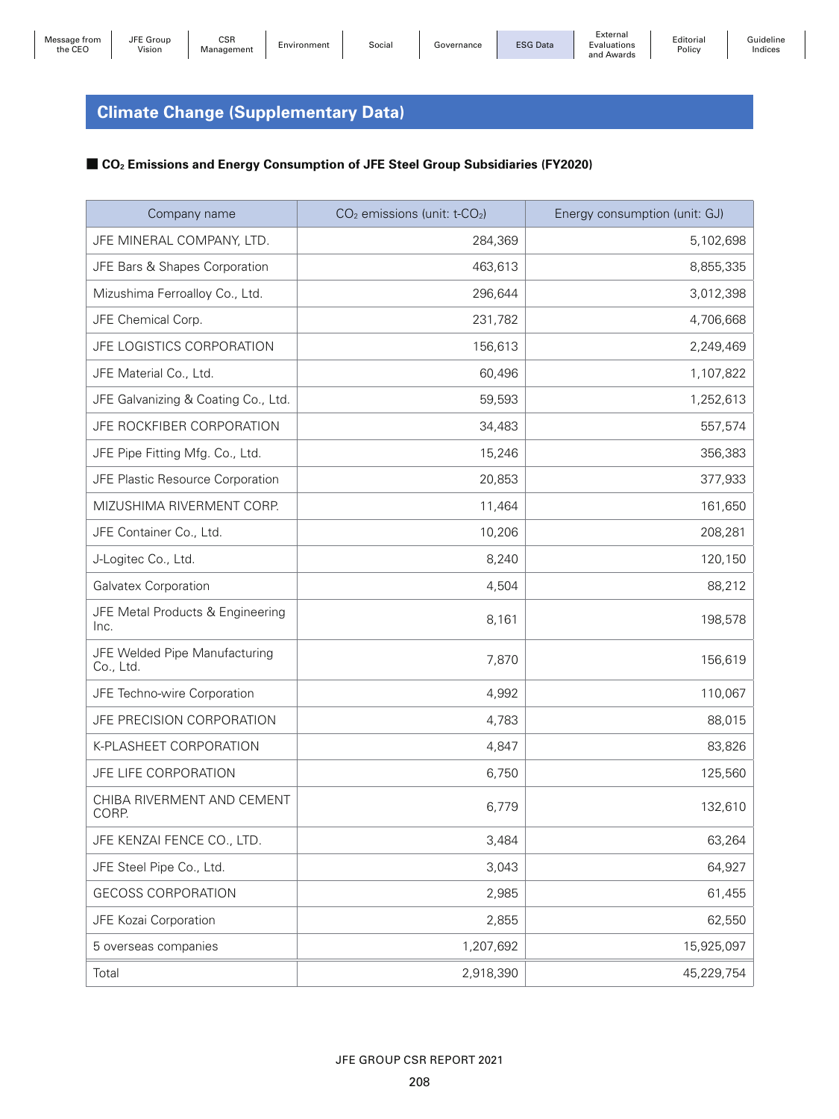JFE Group

Editorial Policy

# **Climate Change (Supplementary Data)**

### ■ CO<sub>2</sub> Emissions and Energy Consumption of JFE Steel Group Subsidiaries (FY2020)

| Company name                               | CO <sub>2</sub> emissions (unit: t-CO <sub>2</sub> ) | Energy consumption (unit: GJ) |
|--------------------------------------------|------------------------------------------------------|-------------------------------|
| JFE MINERAL COMPANY, LTD.                  | 284,369                                              | 5,102,698                     |
| JFE Bars & Shapes Corporation              | 463,613                                              | 8,855,335                     |
| Mizushima Ferroalloy Co., Ltd.             | 296,644                                              | 3,012,398                     |
| JFE Chemical Corp.                         | 231,782                                              | 4,706,668                     |
| JFE LOGISTICS CORPORATION                  | 156,613                                              | 2,249,469                     |
| JFE Material Co., Ltd.                     | 60,496                                               | 1,107,822                     |
| JFE Galvanizing & Coating Co., Ltd.        | 59,593                                               | 1,252,613                     |
| JFE ROCKFIBER CORPORATION                  | 34,483                                               | 557,574                       |
| JFE Pipe Fitting Mfg. Co., Ltd.            | 15,246                                               | 356,383                       |
| JFE Plastic Resource Corporation           | 20,853                                               | 377,933                       |
| MIZUSHIMA RIVERMENT CORP.                  | 11,464                                               | 161,650                       |
| JFE Container Co., Ltd.                    | 10,206                                               | 208,281                       |
| J-Logitec Co., Ltd.                        | 8,240                                                | 120,150                       |
| Galvatex Corporation                       | 4,504                                                | 88,212                        |
| JFE Metal Products & Engineering<br>Inc.   | 8,161                                                | 198,578                       |
| JFE Welded Pipe Manufacturing<br>Co., Ltd. | 7,870                                                | 156,619                       |
| JFE Techno-wire Corporation                | 4,992                                                | 110,067                       |
| JFE PRECISION CORPORATION                  | 4,783                                                | 88,015                        |
| K-PLASHEET CORPORATION                     | 4,847                                                | 83,826                        |
| JFE LIFE CORPORATION                       | 6,750                                                | 125,560                       |
| CHIBA RIVERMENT AND CEMENT<br>CORP.        | 6,779                                                | 132,610                       |
| JFE KENZAI FENCE CO., LTD.                 | 3,484                                                | 63,264                        |
| JFE Steel Pipe Co., Ltd.                   | 3,043                                                | 64,927                        |
| <b>GECOSS CORPORATION</b>                  | 2,985                                                | 61,455                        |
| JFE Kozai Corporation                      | 2,855                                                | 62,550                        |
| 5 overseas companies                       | 1,207,692                                            | 15,925,097                    |
| Total                                      | 2,918,390                                            | 45,229,754                    |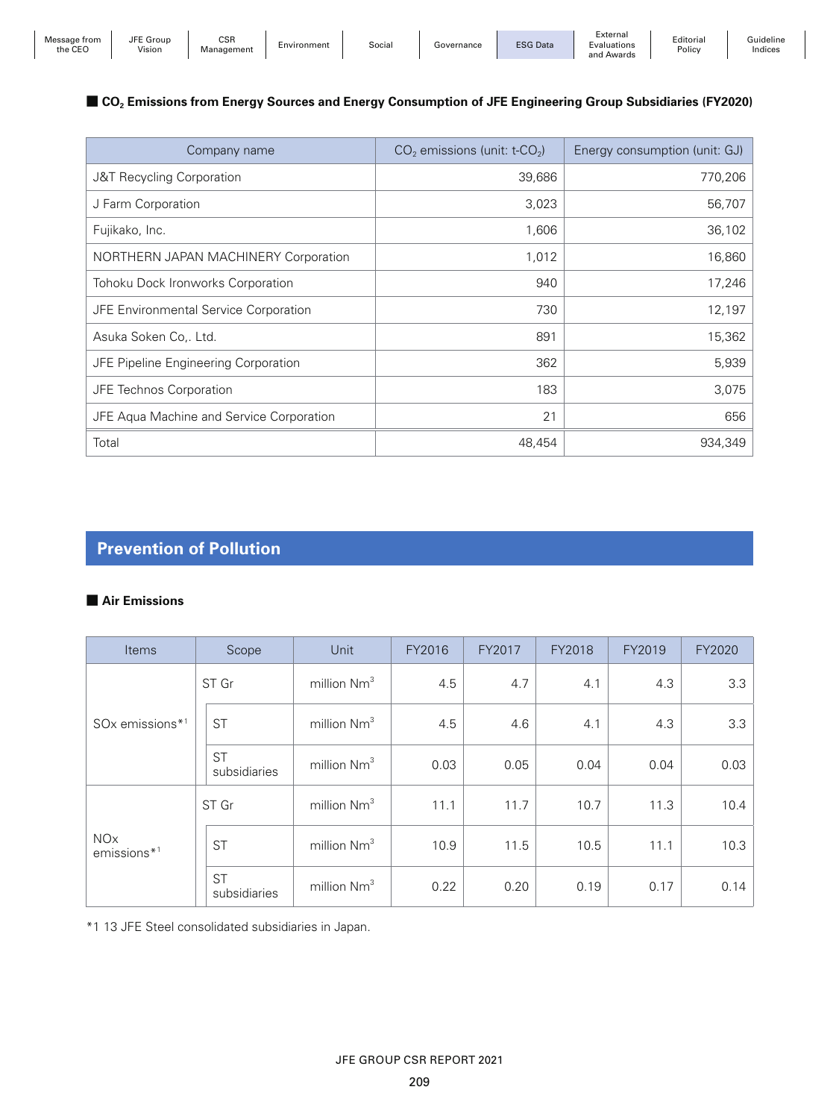| Message<br>trom<br>the CEC | <b>JFE</b><br>Group<br>.<br>Vision | COL<br>cər<br><i>Aanagement</i><br>IVICI | Environment | Social | Governance | <b>ESG Data</b> | :xternal<br>Evaluations<br>and<br>Awards | Editorial<br>Policy | 'iuideline<br>Indices |
|----------------------------|------------------------------------|------------------------------------------|-------------|--------|------------|-----------------|------------------------------------------|---------------------|-----------------------|
|----------------------------|------------------------------------|------------------------------------------|-------------|--------|------------|-----------------|------------------------------------------|---------------------|-----------------------|

### ■ **CO<sub>2</sub> Emissions from Energy Sources and Energy Consumption of JFE Engineering Group Subsidiaries (FY2020)**

| Company name                             | $CO2$ emissions (unit: t-CO <sub>2</sub> ) | Energy consumption (unit: GJ) |
|------------------------------------------|--------------------------------------------|-------------------------------|
| J&T Recycling Corporation                | 39,686                                     | 770,206                       |
| J Farm Corporation                       | 3,023                                      | 56,707                        |
| Fujikako, Inc.                           | 1,606                                      | 36,102                        |
| NORTHERN JAPAN MACHINERY Corporation     | 1,012                                      | 16,860                        |
| Tohoku Dock Ironworks Corporation        | 940                                        | 17,246                        |
| JFE Environmental Service Corporation    | 730                                        | 12,197                        |
| Asuka Soken Co,. Ltd.                    | 891                                        | 15,362                        |
| JFE Pipeline Engineering Corporation     | 362                                        | 5,939                         |
| JFE Technos Corporation                  | 183                                        | 3,075                         |
| JFE Aqua Machine and Service Corporation | 21                                         | 656                           |
| Total                                    | 48,454                                     | 934,349                       |

## **Prevention of Pollution**

#### ■ **Air Emissions**

| Items                                   | Scope                     | Unit                    | FY2016 | FY2017 | FY2018 | FY2019 | FY2020 |
|-----------------------------------------|---------------------------|-------------------------|--------|--------|--------|--------|--------|
| SO <sub>x</sub> emissions* <sup>1</sup> | ST Gr                     | million Nm <sup>3</sup> | 4.5    | 4.7    | 4.1    | 4.3    | 3.3    |
|                                         | <b>ST</b>                 | million Nm <sup>3</sup> | 4.5    | 4.6    | 4.1    | 4.3    | 3.3    |
|                                         | <b>ST</b><br>subsidiaries | million Nm <sup>3</sup> | 0.03   | 0.05   | 0.04   | 0.04   | 0.03   |
| <b>NO<sub>x</sub></b><br>$emissions*1$  | ST Gr                     | million Nm <sup>3</sup> | 11.1   | 11.7   | 10.7   | 11.3   | 10.4   |
|                                         | <b>ST</b>                 | million Nm <sup>3</sup> | 10.9   | 11.5   | 10.5   | 11.1   | 10.3   |
|                                         | <b>ST</b><br>subsidiaries | million Nm <sup>3</sup> | 0.22   | 0.20   | 0.19   | 0.17   | 0.14   |

\*1 13 JFE Steel consolidated subsidiaries in Japan.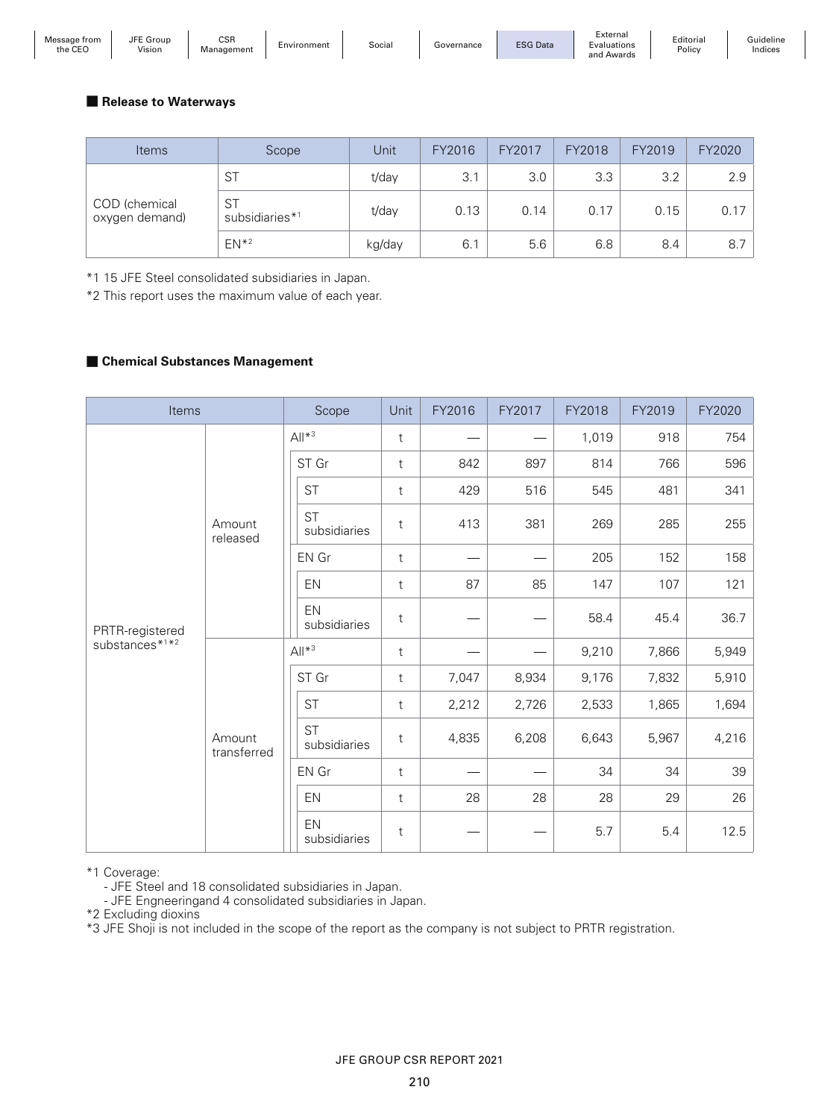| Message from<br>$\sim$<br>the CEO<br>. | $- - -$<br>Group<br>JFE<br>the contract of the contract of<br>Vision | <b>CSF</b><br>*anaαement | Environment | Social | Governance | <b>ESG Data</b> | External<br>Evaluations<br>and Awards | Editorial<br>Policy | <b>Guideline</b><br>Indices |
|----------------------------------------|----------------------------------------------------------------------|--------------------------|-------------|--------|------------|-----------------|---------------------------------------|---------------------|-----------------------------|
|----------------------------------------|----------------------------------------------------------------------|--------------------------|-------------|--------|------------|-----------------|---------------------------------------|---------------------|-----------------------------|

#### ■ Release to Waterways

| <b>Items</b>                    | Scope                                   | Unit   | FY2016 | FY2017 | FY2018 | FY2019 | FY2020 |
|---------------------------------|-----------------------------------------|--------|--------|--------|--------|--------|--------|
| COD (chemical<br>oxygen demand) | <b>ST</b>                               | t/day  | 3.1    | 3.0    | 3.3    | 3.2    | 2.9    |
|                                 | <b>ST</b><br>subsidiaries* <sup>1</sup> | t/day  | 0.13   | 0.14   | 0.17   | 0.15   | 0.17   |
|                                 | $EN*2$                                  | kg/day | 6.7    | 5.6    | 6.8    | 8.4    | 8.7    |

\*1 15 JFE Steel consolidated subsidiaries in Japan.

\*2 This report uses the maximum value of each year.

#### ■ Chemical Substances Management

| Items                      |                       | Scope   |                           | Unit         | FY2016 | FY2017 | FY2018 | FY2019 | FY2020 |
|----------------------------|-----------------------|---------|---------------------------|--------------|--------|--------|--------|--------|--------|
|                            |                       |         | $All*3$                   | $\mathsf{t}$ |        |        | 1,019  | 918    | 754    |
|                            |                       |         | ST Gr                     | $\mathsf{t}$ | 842    | 897    | 814    | 766    | 596    |
|                            |                       |         | <b>ST</b>                 | $\mathsf{t}$ | 429    | 516    | 545    | 481    | 341    |
|                            | Amount<br>released    |         | <b>ST</b><br>subsidiaries | t            | 413    | 381    | 269    | 285    | 255    |
|                            |                       |         | EN Gr                     | $\mathsf{t}$ |        |        | 205    | 152    | 158    |
|                            |                       |         | EN                        | $\mathsf{t}$ | 87     | 85     | 147    | 107    | 121    |
| PRTR-registered            |                       |         | EN<br>subsidiaries        | $\mathsf{t}$ |        |        | 58.4   | 45.4   | 36.7   |
| substances <sup>*1*2</sup> |                       | $All*3$ |                           | $\mathsf{t}$ |        |        | 9,210  | 7,866  | 5,949  |
|                            |                       |         | ST Gr                     | $\mathsf{t}$ | 7,047  | 8,934  | 9,176  | 7,832  | 5,910  |
|                            |                       |         | <b>ST</b>                 | $\mathsf{t}$ | 2,212  | 2,726  | 2,533  | 1,865  | 1,694  |
|                            | Amount<br>transferred |         | <b>ST</b><br>subsidiaries | $\mathsf{t}$ | 4,835  | 6,208  | 6,643  | 5,967  | 4,216  |
|                            |                       |         | EN Gr                     | $\mathsf{t}$ |        |        | 34     | 34     | 39     |
|                            |                       |         | EN                        | t            | 28     | 28     | 28     | 29     | 26     |
|                            |                       |         | EN<br>subsidiaries        | t            |        |        | 5.7    | 5.4    | 12.5   |

\*1 Coverage:

- JFE Steel and 18 consolidated subsidiaries in Japan.

- JFE Engneeringand 4 consolidated subsidiaries in Japan.

\*2 Excluding dioxins

\*3 JFE Shoji is not included in the scope of the report as the company is not subject to PRTR registration.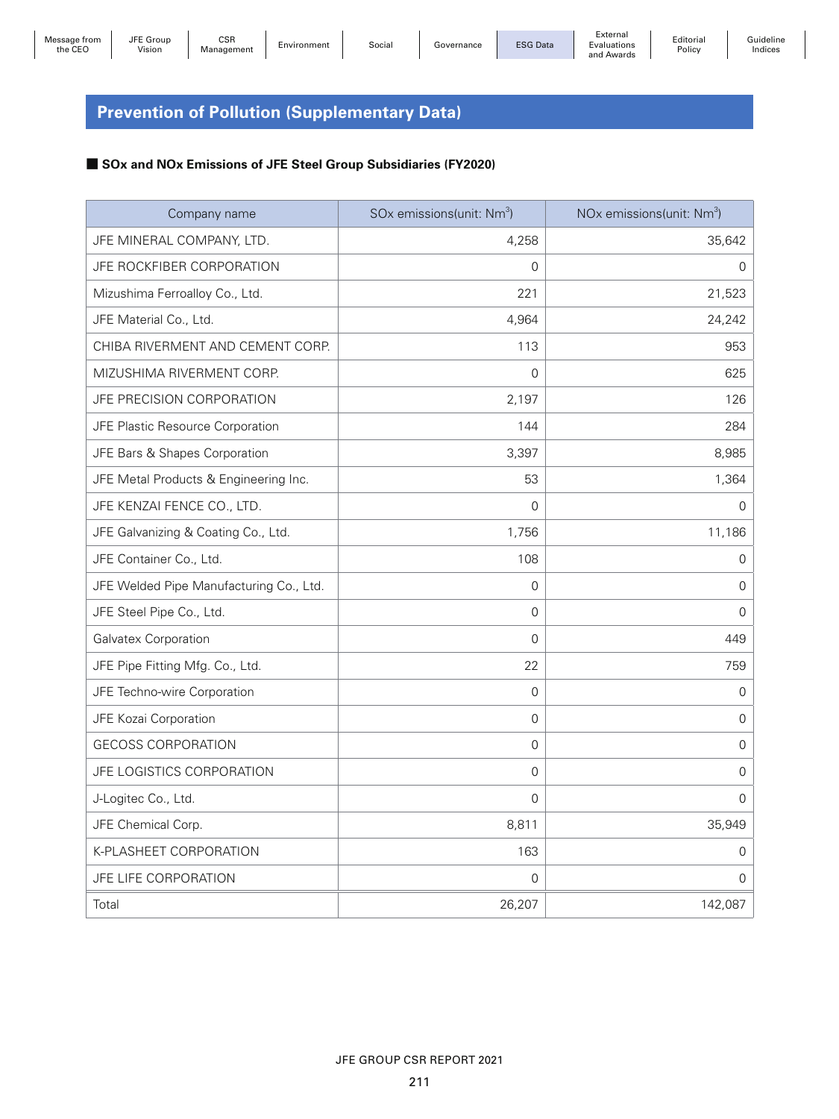# **Prevention of Pollution (Supplementary Data)**

### ■ **SOx and NOx Emissions of JFE Steel Group Subsidiaries (FY2020)**

| Company name                            | SOx emissions(unit: Nm <sup>3</sup> ) | NO <sub>x</sub> emissions(unit: Nm <sup>3</sup> ) |
|-----------------------------------------|---------------------------------------|---------------------------------------------------|
| JFE MINERAL COMPANY, LTD.               | 4,258                                 | 35,642                                            |
| JFE ROCKFIBER CORPORATION               | $\overline{0}$                        | 0                                                 |
| Mizushima Ferroalloy Co., Ltd.          | 221                                   | 21,523                                            |
| JFE Material Co., Ltd.                  | 4,964                                 | 24,242                                            |
| CHIBA RIVERMENT AND CEMENT CORP.        | 113                                   | 953                                               |
| MIZUSHIMA RIVERMENT CORP.               | $\Omega$                              | 625                                               |
| JFE PRECISION CORPORATION               | 2,197                                 | 126                                               |
| JFE Plastic Resource Corporation        | 144                                   | 284                                               |
| JFE Bars & Shapes Corporation           | 3,397                                 | 8,985                                             |
| JFE Metal Products & Engineering Inc.   | 53                                    | 1,364                                             |
| JFE KENZAI FENCE CO., LTD.              | $\Omega$                              | $\mathbf 0$                                       |
| JFE Galvanizing & Coating Co., Ltd.     | 1,756                                 | 11,186                                            |
| JFE Container Co., Ltd.                 | 108                                   | 0                                                 |
| JFE Welded Pipe Manufacturing Co., Ltd. | 0                                     | 0                                                 |
| JFE Steel Pipe Co., Ltd.                | 0                                     | $\mathbf 0$                                       |
| Galvatex Corporation                    | 0                                     | 449                                               |
| JFE Pipe Fitting Mfg. Co., Ltd.         | 22                                    | 759                                               |
| JFE Techno-wire Corporation             | 0                                     | 0                                                 |
| JFE Kozai Corporation                   | 0                                     | $\mathsf{O}\xspace$                               |
| <b>GECOSS CORPORATION</b>               | 0                                     | $\mathbf 0$                                       |
| JFE LOGISTICS CORPORATION               | $\Omega$                              | 0                                                 |
| J-Logitec Co., Ltd.                     | $\mathbf 0$                           | $\mathbf 0$                                       |
| JFE Chemical Corp.                      | 8,811                                 | 35,949                                            |
| K-PLASHEET CORPORATION                  | 163                                   | $\mathsf{O}\xspace$                               |
| JFE LIFE CORPORATION                    | 0                                     | $\mathbf 0$                                       |
| Total                                   | 26,207                                | 142,087                                           |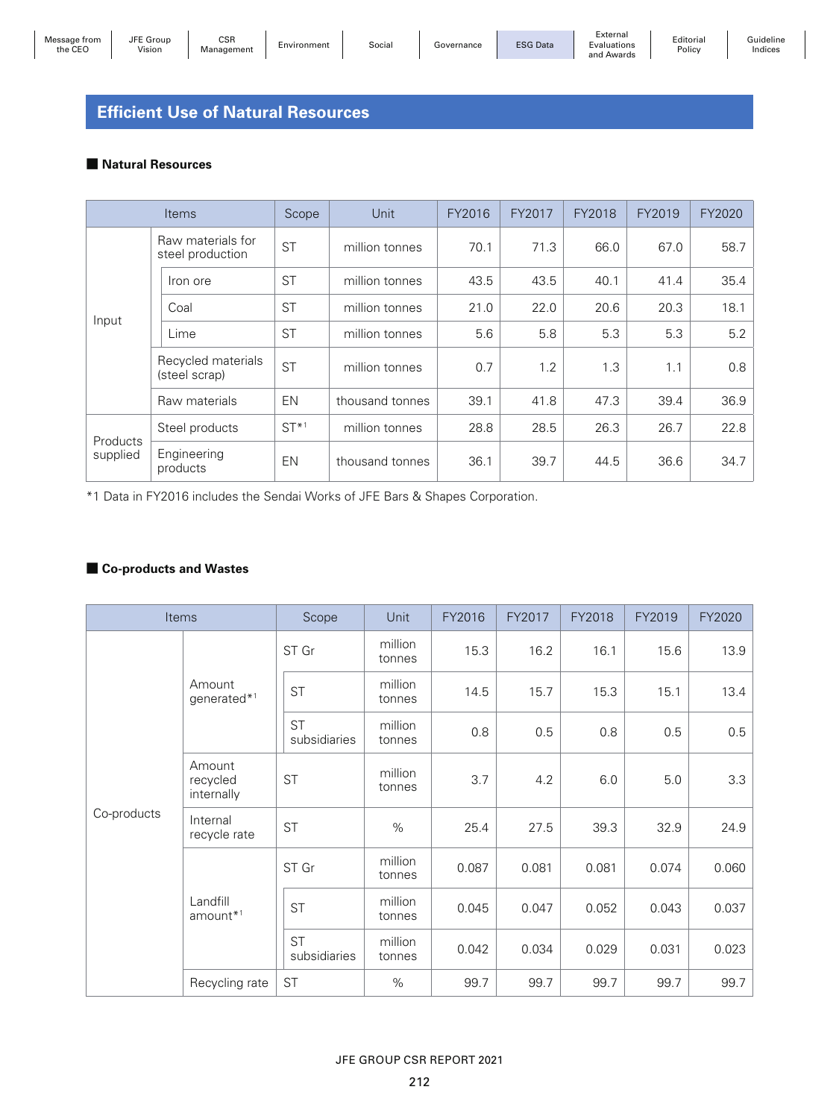## **Efficient Use of Natural Resources**

#### ■ **Natural Resources**

|                                       | <b>Items</b>                    | Scope     | Unit            | FY2016 | FY2017 | FY2018 | FY2019 | FY2020 |
|---------------------------------------|---------------------------------|-----------|-----------------|--------|--------|--------|--------|--------|
| Raw materials for<br>steel production |                                 | <b>ST</b> | million tonnes  | 70.1   | 71.3   | 66.0   | 67.0   | 58.7   |
|                                       | Iron ore                        | <b>ST</b> | million tonnes  | 43.5   | 43.5   | 40.1   | 41.4   | 35.4   |
|                                       | Coal                            | <b>ST</b> | million tonnes  | 21.0   | 22.0   | 20.6   | 20.3   | 18.1   |
| Input<br>Lime<br>(steel scrap)        |                                 | <b>ST</b> | million tonnes  | 5.6    | 5.8    | 5.3    | 5.3    | 5.2    |
|                                       | Recycled materials<br><b>ST</b> |           | million tonnes  | 0.7    | 1.2    | 1.3    | 1.1    | 0.8    |
|                                       | Raw materials                   | EN        | thousand tonnes | 39.1   | 41.8   | 47.3   | 39.4   | 36.9   |
|                                       | Steel products                  | $ST*1$    | million tonnes  | 28.8   | 28.5   | 26.3   | 26.7   | 22.8   |
| Products<br>supplied                  | Engineering<br>products         | <b>EN</b> | thousand tonnes | 36.1   | 39.7   | 44.5   | 36.6   | 34.7   |

\*1 Data in FY2016 includes the Sendai Works of JFE Bars & Shapes Corporation.

#### ■ Co-products and Wastes

|             | Items                            | Scope                     | Unit              | FY2016 | FY2017 | FY2018 | FY2019 | FY2020 |
|-------------|----------------------------------|---------------------------|-------------------|--------|--------|--------|--------|--------|
|             |                                  | ST Gr                     | million<br>tonnes | 15.3   | 16.2   | 16.1   | 15.6   | 13.9   |
|             | Amount<br>generated*1            | <b>ST</b>                 | million<br>tonnes | 14.5   | 15.7   | 15.3   | 15.1   | 13.4   |
|             |                                  | <b>ST</b><br>subsidiaries | million<br>tonnes | 0.8    | 0.5    | 0.8    | 0.5    | 0.5    |
|             | Amount<br>recycled<br>internally | <b>ST</b>                 | million<br>tonnes | 3.7    | 4.2    | 6.0    | 5.0    | 3.3    |
| Co-products | Internal<br>recycle rate         | <b>ST</b>                 | $\%$              | 25.4   | 27.5   | 39.3   | 32.9   | 24.9   |
|             | Landfill<br>$amount*1$           | ST Gr                     | million<br>tonnes | 0.087  | 0.081  | 0.081  | 0.074  | 0.060  |
|             |                                  | <b>ST</b>                 | million<br>tonnes | 0.045  | 0.047  | 0.052  | 0.043  | 0.037  |
|             |                                  | <b>ST</b><br>subsidiaries | million<br>tonnes | 0.042  | 0.034  | 0.029  | 0.031  | 0.023  |
|             | Recycling rate                   | <b>ST</b>                 | $\%$              | 99.7   | 99.7   | 99.7   | 99.7   | 99.7   |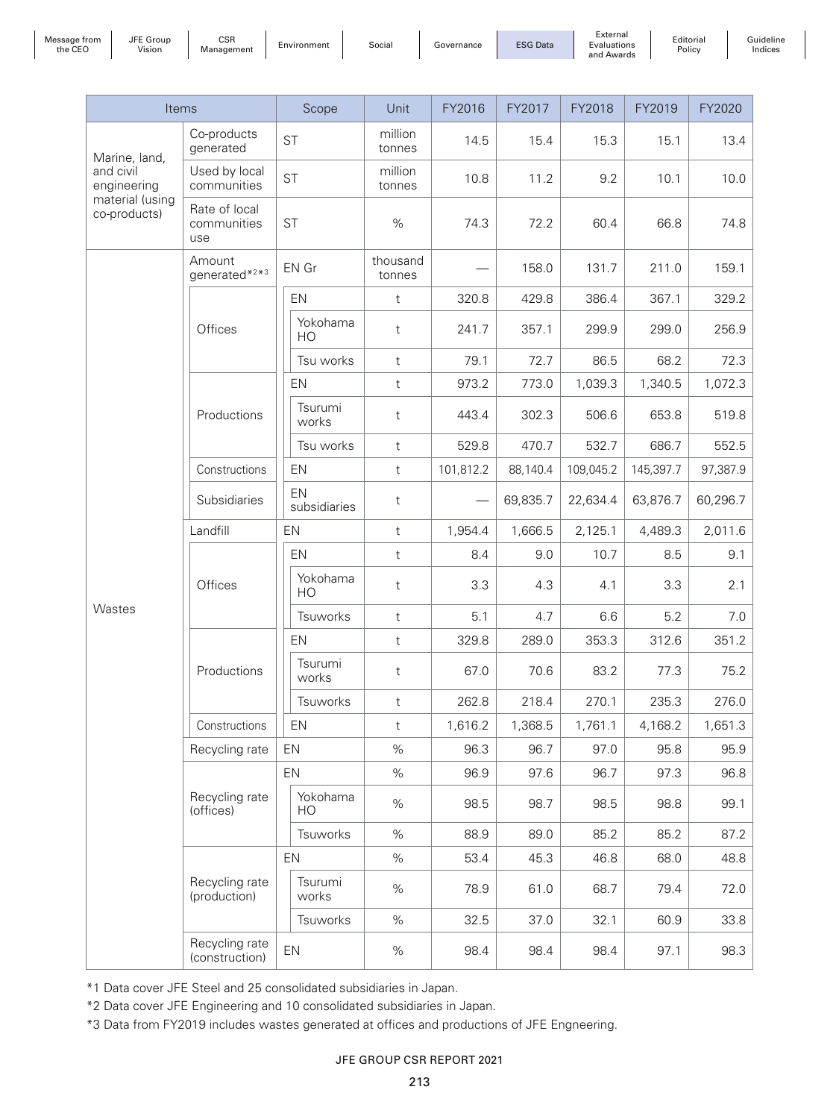| trom<br>sane<br>the CEO | <b>JFF</b><br>$\sim$<br>Group<br>Vision | CSR<br>Management | Environment | Socia | iovernance | <b>ESG Data</b> | External<br>Evaluations | Editoria.<br>Policy |
|-------------------------|-----------------------------------------|-------------------|-------------|-------|------------|-----------------|-------------------------|---------------------|
|                         |                                         |                   |             |       |            |                 | and<br>Awards           |                     |

Guideline Indices

| Items                           |                                     | Scope                      | Unit               | FY2016    | FY2017   | FY2018    | FY2019    | FY2020   |
|---------------------------------|-------------------------------------|----------------------------|--------------------|-----------|----------|-----------|-----------|----------|
| Marine, land,                   | Co-products<br>generated            | <b>ST</b>                  | million<br>tonnes  | 14.5      | 15.4     | 15.3      | 15.1      | 13.4     |
| and civil<br>engineering        | Used by local<br>communities        | <b>ST</b>                  | million<br>tonnes  | 10.8      | 11.2     | 9.2       | 10.1      | 10.0     |
| material (using<br>co-products) | Rate of local<br>communities<br>use | <b>ST</b>                  | $\%$               | 74.3      | 72.2     | 60.4      | 66.8      | 74.8     |
|                                 | Amount<br>generated*2*3             | EN Gr                      | thousand<br>tonnes |           | 158.0    | 131.7     | 211.0     | 159.1    |
|                                 |                                     | EN                         | t                  | 320.8     | 429.8    | 386.4     | 367.1     | 329.2    |
|                                 | Offices                             | Yokohama<br>HO             | $\mathsf{t}$       | 241.7     | 357.1    | 299.9     | 299.0     | 256.9    |
|                                 |                                     | Tsu works                  | $\mathsf{t}$       | 79.1      | 72.7     | 86.5      | 68.2      | 72.3     |
|                                 |                                     | EN                         | $\mathsf{t}$       | 973.2     | 773.0    | 1,039.3   | 1,340.5   | 1,072.3  |
|                                 | Productions                         | Tsurumi<br>works           | $\sf t$            | 443.4     | 302.3    | 506.6     | 653.8     | 519.8    |
|                                 |                                     | Tsu works                  | $\mathsf t$        | 529.8     | 470.7    | 532.7     | 686.7     | 552.5    |
|                                 | Constructions                       | EN                         | $^\mathrm{t}$      | 101,812.2 | 88,140.4 | 109,045.2 | 145,397.7 | 97,387.9 |
|                                 | Subsidiaries                        | EN<br>subsidiaries         | t                  |           | 69,835.7 | 22,634.4  | 63,876.7  | 60,296.7 |
|                                 | Landfill                            | EN                         | $^\mathrm{t}$      | 1,954.4   | 1,666.5  | 2,125.1   | 4,489.3   | 2,011.6  |
|                                 | Offices                             | EN                         | $\mathsf t$        | 8.4       | 9.0      | 10.7      | 8.5       | 9.1      |
|                                 |                                     | Yokohama<br>H <sub>O</sub> | t                  | 3.3       | 4.3      | 4.1       | 3.3       | 2.1      |
| Wastes                          |                                     | Tsuworks                   | $^\mathrm{t}$      | 5.1       | 4.7      | 6.6       | 5.2       | 7.0      |
|                                 |                                     | EN                         | $^\mathrm{t}$      | 329.8     | 289.0    | 353.3     | 312.6     | 351.2    |
|                                 | Productions                         | Tsurumi<br>works           | $\mathsf{t}$       | 67.0      | 70.6     | 83.2      | 77.3      | 75.2     |
|                                 |                                     | Tsuworks                   | $\mathsf t$        | 262.8     | 218.4    | 270.1     | 235.3     | 276.0    |
|                                 | Constructions                       | EN                         | $\mathsf t$        | 1,616.2   | 1,368.5  | 1,761.1   | 4,168.2   | 1,651.3  |
|                                 | Recycling rate                      | EN                         | %                  | 96.3      | 96.7     | 97.0      | 95.8      | 95.9     |
|                                 |                                     | EN                         | $\%$               | 96.9      | 97.6     | 96.7      | 97.3      | 96.8     |
|                                 | Recycling rate<br>(offices)         | Yokohama<br>HO             | $\%$               | 98.5      | 98.7     | 98.5      | 98.8      | 99.1     |
|                                 |                                     | Tsuworks                   | $\%$               | 88.9      | 89.0     | 85.2      | 85.2      | 87.2     |
|                                 |                                     | EN                         | $\%$               | 53.4      | 45.3     | 46.8      | 68.0      | 48.8     |
|                                 | Recycling rate<br>(production)      | Tsurumi<br>works           | $\%$               | 78.9      | 61.0     | 68.7      | 79.4      | 72.0     |
|                                 |                                     | Tsuworks                   | $\%$               | 32.5      | 37.0     | 32.1      | 60.9      | 33.8     |
|                                 | Recycling rate<br>(construction)    | EN                         | $\%$               | 98.4      | 98.4     | 98.4      | 97.1      | 98.3     |

\*1 Data cover JFE Steel and 25 consolidated subsidiaries in Japan.

\*2 Data cover JFE Engineering and 10 consolidated subsidiaries in Japan.

\*3 Data from FY2019 includes wastes generated at offices and productions of JFE Engneering.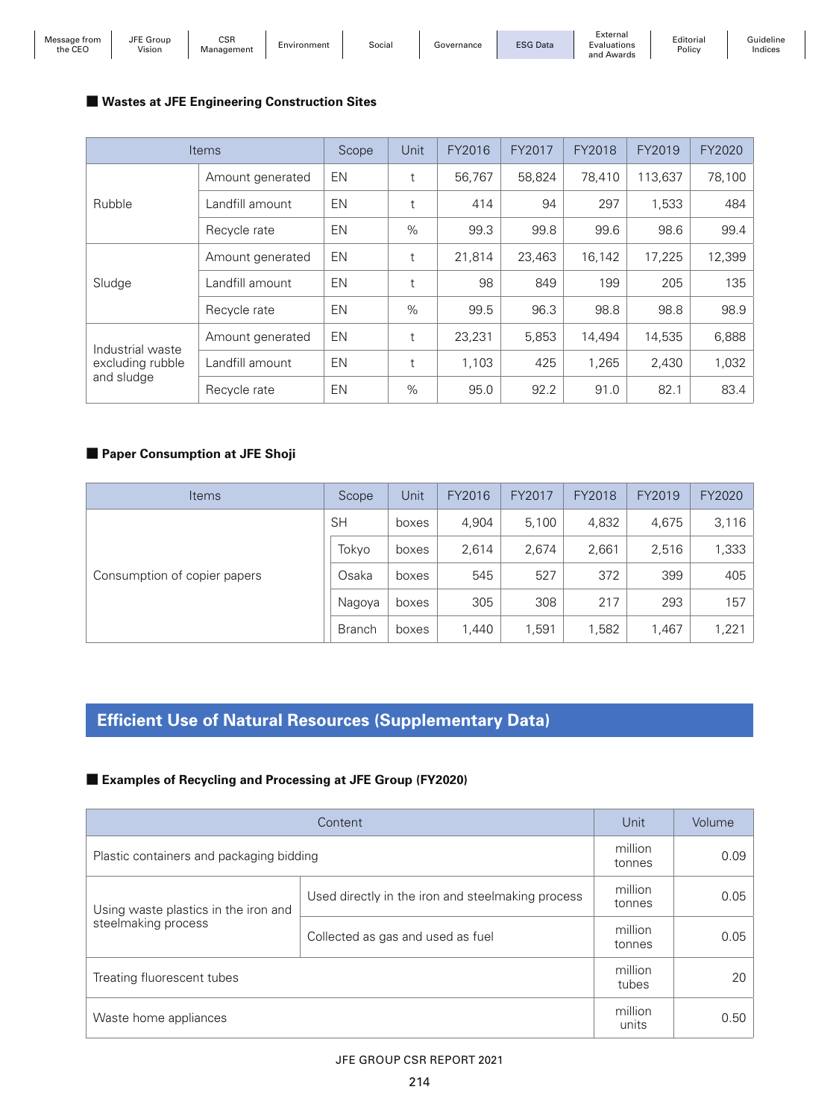| Message from<br>the CEO | JFE Group<br>Vision | CSR<br>Management | Environment | ocialٽ | Governance | <b>ESG Data</b> | -xternai<br>Evaluations<br>and Awards |
|-------------------------|---------------------|-------------------|-------------|--------|------------|-----------------|---------------------------------------|
|-------------------------|---------------------|-------------------|-------------|--------|------------|-----------------|---------------------------------------|

#### ■ Wastes at JFE Engineering Construction Sites

|                  | <b>Items</b>     | Scope     | Unit | FY2016 | FY2017 | FY2018 | FY2019  | FY2020 |
|------------------|------------------|-----------|------|--------|--------|--------|---------|--------|
|                  | Amount generated | EN        | t    | 56,767 | 58.824 | 78.410 | 113.637 | 78,100 |
| Rubble           | Landfill amount  | <b>EN</b> | t    | 414    | 94     | 297    | 1,533   | 484    |
|                  | Recycle rate     | EN        | $\%$ | 99.3   | 99.8   | 99.6   | 98.6    | 99.4   |
|                  | Amount generated | <b>EN</b> | t    | 21,814 | 23,463 | 16,142 | 17,225  | 12,399 |
| Sludge           | Landfill amount  | <b>EN</b> | t    | 98     | 849    | 199    | 205     | 135    |
|                  | Recycle rate     | EN        | $\%$ | 99.5   | 96.3   | 98.8   | 98.8    | 98.9   |
| Industrial waste | Amount generated | <b>EN</b> | t    | 23,231 | 5,853  | 14,494 | 14,535  | 6,888  |
| excluding rubble | Landfill amount  | <b>EN</b> | t    | 1,103  | 425    | 1,265  | 2,430   | 1,032  |
| and sludge       | Recycle rate     | EN        | %    | 95.0   | 92.2   | 91.0   | 82.1    | 83.4   |

Editorial Policy

Guideline Indices

### ■ Paper Consumption at JFE Shoji

| <b>Items</b>                 | Scope         | Unit  | FY2016 | FY2017 | FY2018 | FY2019 | FY2020 |
|------------------------------|---------------|-------|--------|--------|--------|--------|--------|
|                              | <b>SH</b>     | boxes | 4,904  | 5,100  | 4,832  | 4,675  | 3,116  |
|                              | Tokvo         | boxes | 2,614  | 2,674  | 2,661  | 2,516  | 1,333  |
| Consumption of copier papers | Osaka         | boxes | 545    | 527    | 372    | 399    | 405    |
|                              | Nagoya        | boxes | 305    | 308    | 217    | 293    | 157    |
|                              | <b>Branch</b> | boxes | 1,440  | 1,591  | ,582   | 1,467  | 1,221  |

# **Efficient Use of Natural Resources (Supplementary Data)**

#### ■ **Examples of Recycling and Processing at JFE Group (FY2020)**

|                                                             | Unit                                              | Volume            |      |
|-------------------------------------------------------------|---------------------------------------------------|-------------------|------|
| Plastic containers and packaging bidding                    | million<br>tonnes                                 | 0.09              |      |
| Using waste plastics in the iron and<br>steelmaking process | Used directly in the iron and steelmaking process | million<br>tonnes | 0.05 |
|                                                             | Collected as gas and used as fuel                 | million<br>tonnes | 0.05 |
| Treating fluorescent tubes                                  | million<br>tubes                                  | 20                |      |
| Waste home appliances                                       | million<br>units                                  | 0.50              |      |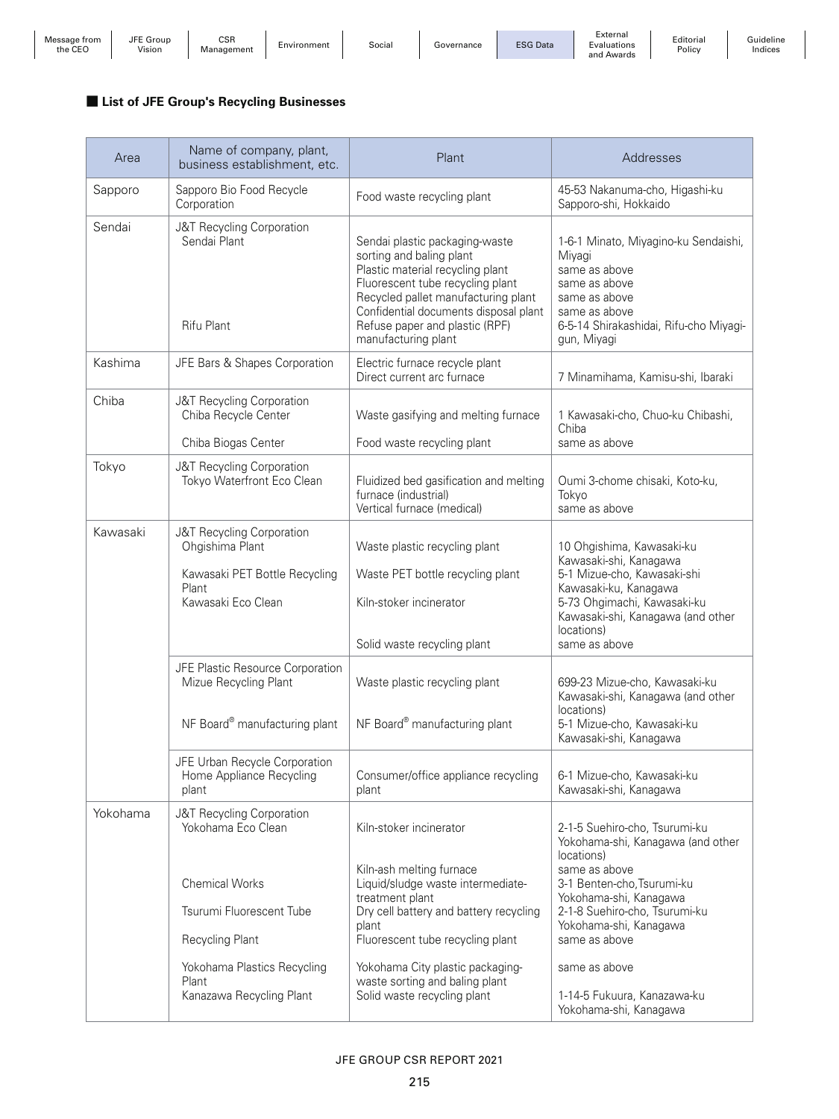| Message from | JFE Group               | <b>CSR</b> | Environment | Social | Governance | <b>ESG Data</b> | External<br>Evaluations | Editorial | Guideline |
|--------------|-------------------------|------------|-------------|--------|------------|-----------------|-------------------------|-----------|-----------|
| the CEC      | Vision<br>$\sim$ $\sim$ | Management |             |        |            |                 | and<br>i Awards         | Policy    | Indices   |

#### ■ **List of JFE Group's Recycling Businesses**

| Area     | Name of company, plant,<br>business establishment, etc.                                                                                  | Plant                                                                                                                                                                                                                                                                        | Addresses                                                                                                                                                                                                      |
|----------|------------------------------------------------------------------------------------------------------------------------------------------|------------------------------------------------------------------------------------------------------------------------------------------------------------------------------------------------------------------------------------------------------------------------------|----------------------------------------------------------------------------------------------------------------------------------------------------------------------------------------------------------------|
| Sapporo  | Sapporo Bio Food Recycle<br>Corporation                                                                                                  | Food waste recycling plant                                                                                                                                                                                                                                                   | 45-53 Nakanuma-cho, Higashi-ku<br>Sapporo-shi, Hokkaido                                                                                                                                                        |
| Sendai   | J&T Recycling Corporation<br>Sendai Plant<br>Rifu Plant                                                                                  | Sendai plastic packaging-waste<br>sorting and baling plant<br>Plastic material recycling plant<br>Fluorescent tube recycling plant<br>Recycled pallet manufacturing plant<br>Confidential documents disposal plant<br>Refuse paper and plastic (RPF)<br>manufacturing plant  | 1-6-1 Minato, Miyagino-ku Sendaishi,<br>Miyagi<br>same as above<br>same as above<br>same as above<br>same as above<br>6-5-14 Shirakashidai, Rifu-cho Miyagi-<br>gun, Miyagi                                    |
| Kashima  | JFE Bars & Shapes Corporation                                                                                                            | Electric furnace recycle plant<br>Direct current arc furnace                                                                                                                                                                                                                 | 7 Minamihama, Kamisu-shi, Ibaraki                                                                                                                                                                              |
| Chiba    | J&T Recycling Corporation<br>Chiba Recycle Center                                                                                        | Waste gasifying and melting furnace                                                                                                                                                                                                                                          | 1 Kawasaki-cho, Chuo-ku Chibashi,<br>Chiba                                                                                                                                                                     |
|          | Chiba Biogas Center                                                                                                                      | Food waste recycling plant                                                                                                                                                                                                                                                   | same as above                                                                                                                                                                                                  |
| Tokyo    | J&T Recycling Corporation<br>Tokyo Waterfront Eco Clean                                                                                  | Fluidized bed gasification and melting<br>furnace (industrial)<br>Vertical furnace (medical)                                                                                                                                                                                 | Oumi 3-chome chisaki, Koto-ku,<br>Tokyo<br>same as above                                                                                                                                                       |
| Kawasaki | J&T Recycling Corporation<br>Ohgishima Plant<br>Kawasaki PET Bottle Recycling<br>Plant<br>Kawasaki Eco Clean                             | Waste plastic recycling plant<br>Waste PET bottle recycling plant<br>Kiln-stoker incinerator<br>Solid waste recycling plant                                                                                                                                                  | 10 Ohgishima, Kawasaki-ku<br>Kawasaki-shi, Kanagawa<br>5-1 Mizue-cho, Kawasaki-shi<br>Kawasaki-ku, Kanagawa<br>5-73 Ohgimachi, Kawasaki-ku<br>Kawasaki-shi, Kanagawa (and other<br>locations)<br>same as above |
|          | JFE Plastic Resource Corporation<br>Mizue Recycling Plant<br>NF Board® manufacturing plant                                               | Waste plastic recycling plant<br>NF Board® manufacturing plant                                                                                                                                                                                                               | 699-23 Mizue-cho, Kawasaki-ku<br>Kawasaki-shi, Kanagawa (and other<br>locations)<br>5-1 Mizue-cho, Kawasaki-ku<br>Kawasaki-shi, Kanagawa                                                                       |
|          | JFE Urban Recycle Corporation<br>Home Appliance Recycling<br>plant                                                                       | Consumer/office appliance recycling<br>plant                                                                                                                                                                                                                                 | 6-1 Mizue-cho, Kawasaki-ku<br>Kawasaki-shi, Kanagawa                                                                                                                                                           |
| Yokohama | J&T Recycling Corporation<br>Yokohama Eco Clean                                                                                          | Kiln-stoker incinerator                                                                                                                                                                                                                                                      | 2-1-5 Suehiro-cho, Tsurumi-ku<br>Yokohama-shi, Kanagawa (and other<br>locations)                                                                                                                               |
|          | <b>Chemical Works</b><br>Tsurumi Fluorescent Tube<br>Recycling Plant<br>Yokohama Plastics Recycling<br>Plant<br>Kanazawa Recycling Plant | Kiln-ash melting furnace<br>Liquid/sludge waste intermediate-<br>treatment plant<br>Dry cell battery and battery recycling<br>plant<br>Fluorescent tube recycling plant<br>Yokohama City plastic packaging-<br>waste sorting and baling plant<br>Solid waste recycling plant | same as above<br>3-1 Benten-cho, Tsurumi-ku<br>Yokohama-shi, Kanagawa<br>2-1-8 Suehiro-cho, Tsurumi-ku<br>Yokohama-shi, Kanagawa<br>same as above<br>same as above<br>1-14-5 Fukuura, Kanazawa-ku              |
|          |                                                                                                                                          |                                                                                                                                                                                                                                                                              | Yokohama-shi, Kanagawa                                                                                                                                                                                         |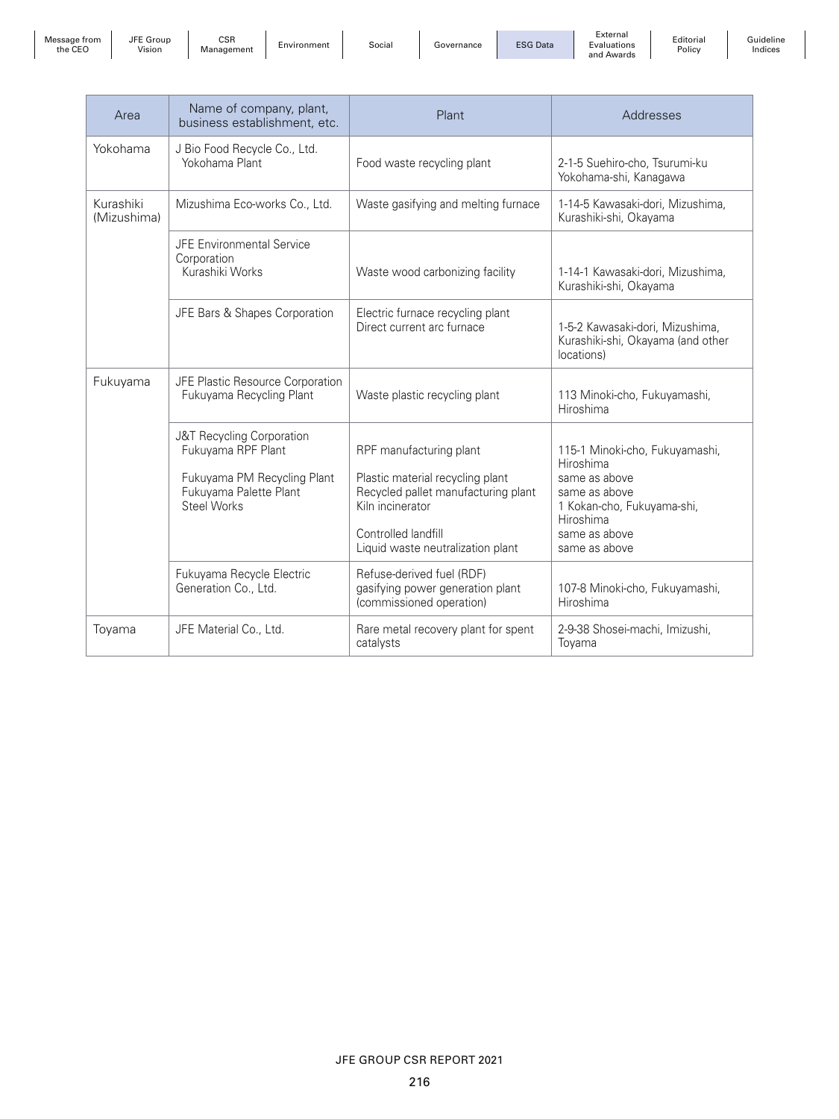| Message from<br>the CEO |  |
|-------------------------|--|
|-------------------------|--|

JFE Group

EGroup | CSR<br>Vision | Management | Environment | Social | Governance | ESG Data

External Evaluations and Awards

Editorial Policy

Guideline Indices

| Area                     | Name of company, plant,<br>business establishment, etc.                                                                        | Plant                                                                                                                                                                              | Addresses                                                                                                                                                  |
|--------------------------|--------------------------------------------------------------------------------------------------------------------------------|------------------------------------------------------------------------------------------------------------------------------------------------------------------------------------|------------------------------------------------------------------------------------------------------------------------------------------------------------|
| Yokohama                 | J Bio Food Recycle Co., Ltd.<br>Yokohama Plant                                                                                 | Food waste recycling plant                                                                                                                                                         | 2-1-5 Suehiro-cho, Tsurumi-ku<br>Yokohama-shi, Kanagawa                                                                                                    |
| Kurashiki<br>(Mizushima) | Mizushima Eco-works Co., Ltd.                                                                                                  | Waste gasifying and melting furnace                                                                                                                                                | 1-14-5 Kawasaki-dori, Mizushima,<br>Kurashiki-shi, Okayama                                                                                                 |
|                          | <b>JFE Environmental Service</b><br>Corporation<br>Kurashiki Works                                                             | Waste wood carbonizing facility                                                                                                                                                    | 1-14-1 Kawasaki-dori, Mizushima,<br>Kurashiki-shi, Okayama                                                                                                 |
|                          | JFE Bars & Shapes Corporation                                                                                                  | Electric furnace recycling plant<br>Direct current arc furnace                                                                                                                     | 1-5-2 Kawasaki-dori, Mizushima,<br>Kurashiki-shi, Okayama (and other<br>locations)                                                                         |
| Fukuyama                 | JFE Plastic Resource Corporation<br>Fukuyama Recycling Plant                                                                   | Waste plastic recycling plant                                                                                                                                                      | 113 Minoki-cho, Fukuyamashi,<br>Hiroshima                                                                                                                  |
|                          | J&T Recycling Corporation<br>Fukuyama RPF Plant<br>Fukuyama PM Recycling Plant<br>Fukuyama Palette Plant<br><b>Steel Works</b> | RPF manufacturing plant<br>Plastic material recycling plant<br>Recycled pallet manufacturing plant<br>Kiln incinerator<br>Controlled landfill<br>Liquid waste neutralization plant | 115-1 Minoki-cho, Fukuyamashi,<br>Hiroshima<br>same as above<br>same as above<br>1 Kokan-cho, Fukuyama-shi,<br>Hiroshima<br>same as above<br>same as above |
|                          | Fukuyama Recycle Electric<br>Generation Co., Ltd.                                                                              | Refuse-derived fuel (RDF)<br>gasifying power generation plant<br>(commissioned operation)                                                                                          | 107-8 Minoki-cho, Fukuyamashi,<br>Hiroshima                                                                                                                |
| Toyama                   | JFE Material Co., Ltd.                                                                                                         | Rare metal recovery plant for spent<br>catalysts                                                                                                                                   | 2-9-38 Shosei-machi, Imizushi,<br>Toyama                                                                                                                   |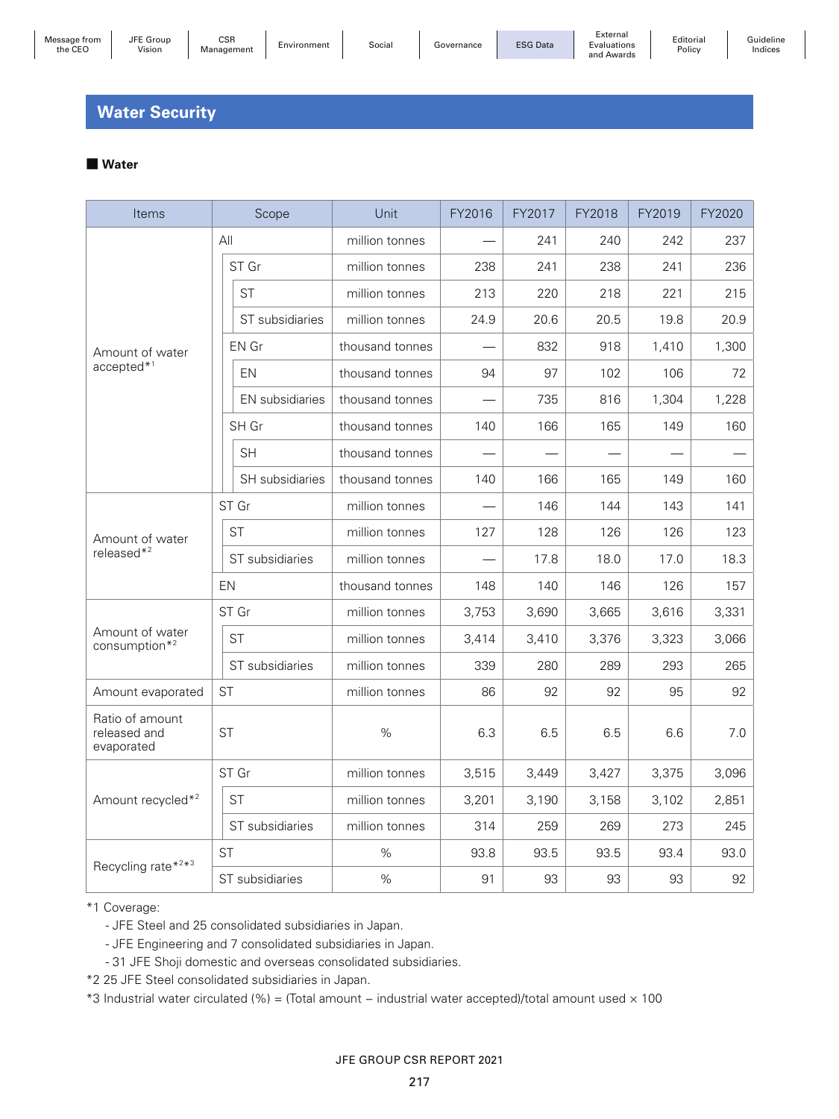# **Water Security**

#### ■ **Water**

| Items                                         |                 | Scope                  | Unit            | FY2016 | FY2017 | FY2018 | FY2019 | FY2020 |
|-----------------------------------------------|-----------------|------------------------|-----------------|--------|--------|--------|--------|--------|
|                                               | All             |                        | million tonnes  |        | 241    | 240    | 242    | 237    |
|                                               |                 | ST Gr                  | million tonnes  | 238    | 241    | 238    | 241    | 236    |
|                                               |                 | <b>ST</b>              | million tonnes  | 213    | 220    | 218    | 221    | 215    |
|                                               |                 | ST subsidiaries        | million tonnes  | 24.9   | 20.6   | 20.5   | 19.8   | 20.9   |
| Amount of water                               |                 | EN Gr                  | thousand tonnes |        | 832    | 918    | 1,410  | 1,300  |
| accepted*1                                    |                 | EN                     | thousand tonnes | 94     | 97     | 102    | 106    | 72     |
|                                               |                 | <b>EN</b> subsidiaries | thousand tonnes |        | 735    | 816    | 1,304  | 1,228  |
|                                               |                 | SH Gr                  | thousand tonnes | 140    | 166    | 165    | 149    | 160    |
|                                               |                 | <b>SH</b>              | thousand tonnes |        |        |        |        |        |
|                                               |                 | SH subsidiaries        | thousand tonnes | 140    | 166    | 165    | 149    | 160    |
|                                               |                 | ST Gr                  | million tonnes  |        | 146    | 144    | 143    | 141    |
| Amount of water                               |                 | <b>ST</b>              | million tonnes  | 127    | 128    | 126    | 126    | 123    |
| released $*^2$                                | ST subsidiaries |                        | million tonnes  |        | 17.8   | 18.0   | 17.0   | 18.3   |
| <b>EN</b>                                     |                 |                        | thousand tonnes | 148    | 140    | 146    | 126    | 157    |
|                                               |                 | ST Gr                  | million tonnes  | 3,753  | 3,690  | 3,665  | 3,616  | 3,331  |
| Amount of water<br>consumption $*^2$          |                 | <b>ST</b>              | million tonnes  | 3,414  | 3,410  | 3,376  | 3,323  | 3,066  |
|                                               |                 | ST subsidiaries        | million tonnes  | 339    | 280    | 289    | 293    | 265    |
| Amount evaporated                             | <b>ST</b>       |                        | million tonnes  | 86     | 92     | 92     | 95     | 92     |
| Ratio of amount<br>released and<br>evaporated | <b>ST</b>       |                        | $\%$            | 6.3    | 6.5    | 6.5    | 6.6    | 7.0    |
|                                               |                 | ST Gr                  | million tonnes  | 3,515  | 3,449  | 3,427  | 3,375  | 3,096  |
| Amount recycled* <sup>2</sup>                 |                 | <b>ST</b>              | million tonnes  | 3,201  | 3,190  | 3,158  | 3,102  | 2,851  |
|                                               |                 | ST subsidiaries        | million tonnes  | 314    | 259    | 269    | 273    | 245    |
| Recycling rate*2*3                            | <b>ST</b>       |                        | $\%$            | 93.8   | 93.5   | 93.5   | 93.4   | 93.0   |
|                                               |                 | ST subsidiaries        | %               | 91     | 93     | 93     | 93     | 92     |

\*1 Coverage:

- JFE Steel and 25 consolidated subsidiaries in Japan.

- JFE Engineering and 7 consolidated subsidiaries in Japan.

- 31 JFE Shoji domestic and overseas consolidated subsidiaries.

\*2 25 JFE Steel consolidated subsidiaries in Japan.

\*3 Industrial water circulated (%) = (Total amount − industrial water accepted)/total amount used × 100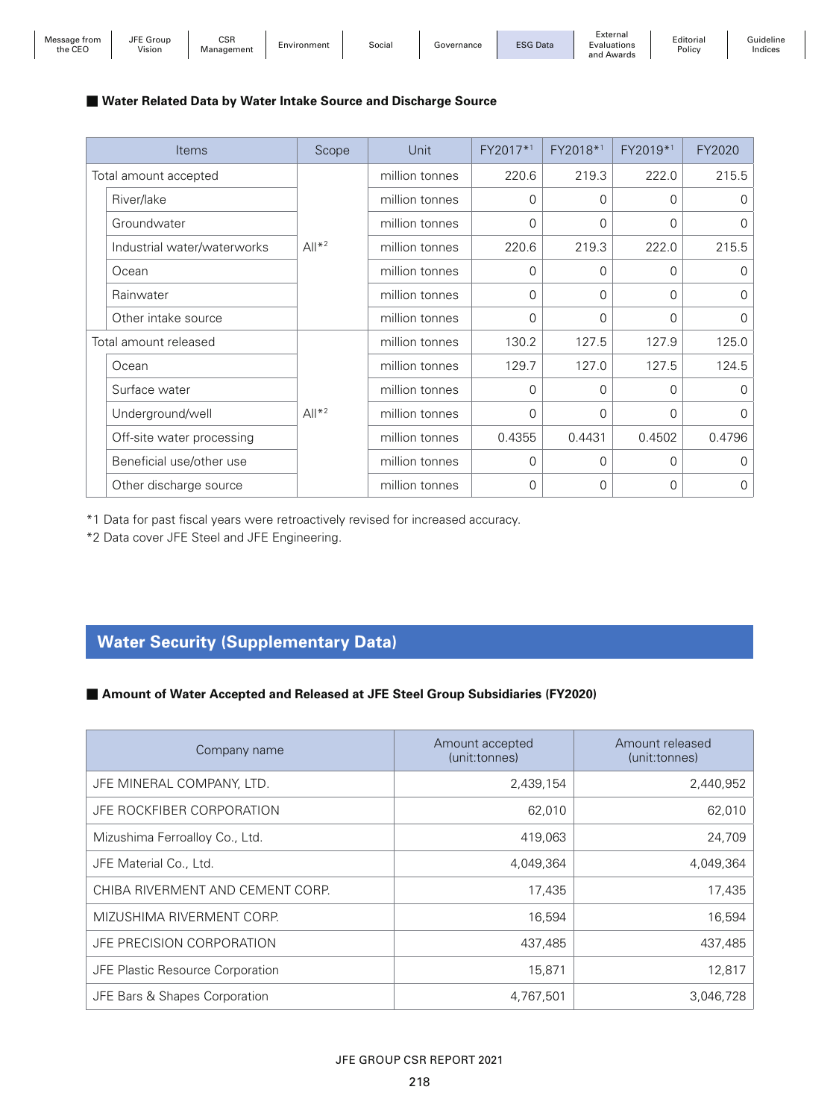| Message from<br>the CEC | <b>JFE</b><br>Group<br><i>l</i> ision | <b>CSR</b><br>Management | Environment | Socia | iovernance | <b>ESG Data</b> | =xternal<br>Evaluations<br>$\sim$<br>Awards | Editorial<br>Policy | suideline<br>Indices |
|-------------------------|---------------------------------------|--------------------------|-------------|-------|------------|-----------------|---------------------------------------------|---------------------|----------------------|
|-------------------------|---------------------------------------|--------------------------|-------------|-------|------------|-----------------|---------------------------------------------|---------------------|----------------------|

#### ■ Water Related Data by Water Intake Source and Discharge Source

| <b>Items</b>                | Scope   | Unit           | FY2017*1 | FY2018*1 | FY2019*1 | FY2020   |
|-----------------------------|---------|----------------|----------|----------|----------|----------|
| Total amount accepted       |         | million tonnes | 220.6    | 219.3    | 222.0    | 215.5    |
| River/lake                  |         | million tonnes | 0        | $\Omega$ | 0        | 0        |
| Groundwater                 |         | million tonnes | $\Omega$ | $\Omega$ | 0        | 0        |
| Industrial water/waterworks | $All*2$ | million tonnes | 220.6    | 219.3    | 222.0    | 215.5    |
| Ocean                       |         | million tonnes | $\Omega$ | $\Omega$ | 0        | 0        |
| Rainwater                   |         | million tonnes | $\Omega$ | $\Omega$ | 0        | $\Omega$ |
| Other intake source         |         | million tonnes | $\Omega$ | $\Omega$ | 0        | 0        |
| Total amount released       |         | million tonnes | 130.2    | 127.5    | 127.9    | 125.0    |
| Ocean                       |         | million tonnes | 129.7    | 127.0    | 127.5    | 124.5    |
| Surface water               |         | million tonnes | $\Omega$ | $\Omega$ | 0        | 0        |
| Underground/well            | $All*2$ | million tonnes | 0        | 0        | 0        | 0        |
| Off-site water processing   |         | million tonnes | 0.4355   | 0.4431   | 0.4502   | 0.4796   |
| Beneficial use/other use    |         | million tonnes | $\Omega$ | 0        | 0        | 0        |
| Other discharge source      |         | million tonnes | $\Omega$ | $\Omega$ | 0        | 0        |

\*1 Data for past fiscal years were retroactively revised for increased accuracy.

\*2 Data cover JFE Steel and JFE Engineering.

# **Water Security (Supplementary Data)**

#### ■ Amount of Water Accepted and Released at JFE Steel Group Subsidiaries (FY2020)

| Company name                     | Amount accepted<br>(unit:tonnes) | Amount released<br>(unit: tonnes) |
|----------------------------------|----------------------------------|-----------------------------------|
| JFE MINERAL COMPANY, LTD.        | 2,439,154                        | 2,440,952                         |
| JFE ROCKFIBER CORPORATION        | 62,010                           | 62,010                            |
| Mizushima Ferroalloy Co., Ltd.   | 419,063                          | 24,709                            |
| JFE Material Co., Ltd.           | 4,049,364                        | 4,049,364                         |
| CHIBA RIVERMENT AND CEMENT CORP. | 17,435                           | 17,435                            |
| MIZUSHIMA RIVERMENT CORP.        | 16,594                           | 16,594                            |
| JFE PRECISION CORPORATION        | 437,485                          | 437,485                           |
| JFE Plastic Resource Corporation | 15,871                           | 12,817                            |
| JFE Bars & Shapes Corporation    | 4,767,501                        | 3,046,728                         |